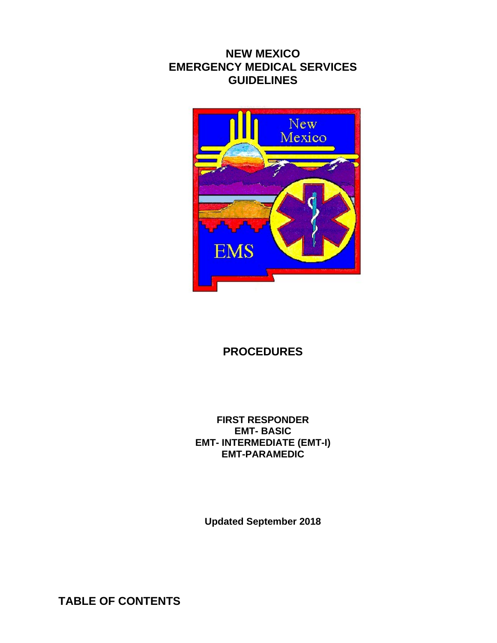# **NEW MEXICO EMERGENCY MEDICAL SERVICES GUIDELINES**



# **PROCEDURES**

## **FIRST RESPONDER EMT- BASIC EMT- INTERMEDIATE (EMT-I) EMT-PARAMEDIC**

**Updated September 2018** 

**TABLE OF CONTENTS**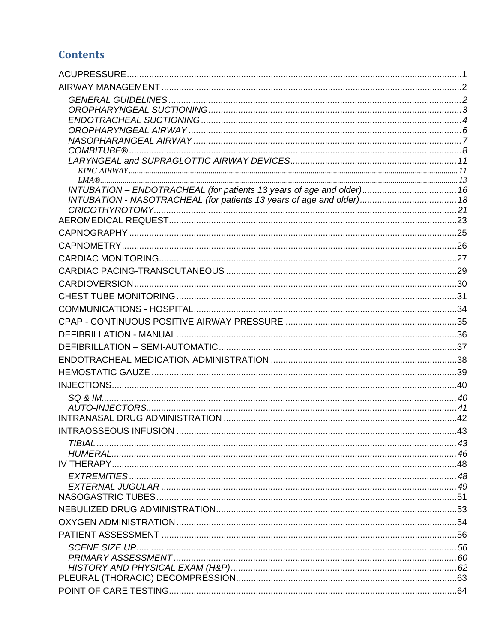# **Contents**

| INTUBATION - ENDOTRACHEAL (for patients 13 years of age and older) 16 |  |
|-----------------------------------------------------------------------|--|
|                                                                       |  |
|                                                                       |  |
|                                                                       |  |
|                                                                       |  |
|                                                                       |  |
|                                                                       |  |
|                                                                       |  |
|                                                                       |  |
|                                                                       |  |
|                                                                       |  |
|                                                                       |  |
|                                                                       |  |
|                                                                       |  |
|                                                                       |  |
|                                                                       |  |
|                                                                       |  |
|                                                                       |  |
|                                                                       |  |
|                                                                       |  |
|                                                                       |  |
|                                                                       |  |
|                                                                       |  |
|                                                                       |  |
|                                                                       |  |
|                                                                       |  |
|                                                                       |  |
|                                                                       |  |
|                                                                       |  |
|                                                                       |  |
|                                                                       |  |
|                                                                       |  |
|                                                                       |  |
|                                                                       |  |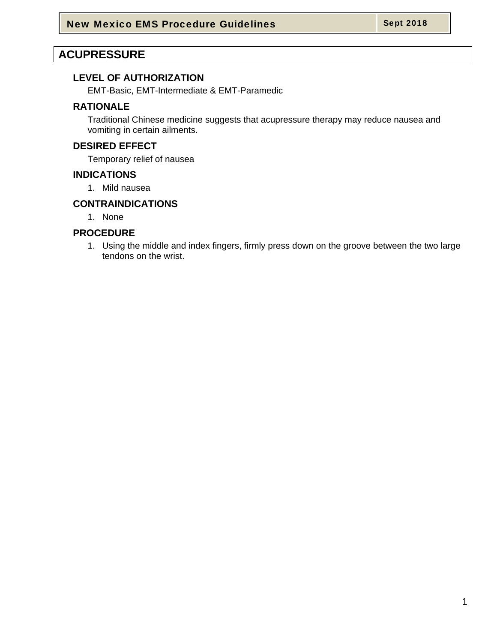## **ACUPRESSURE**

## **LEVEL OF AUTHORIZATION**

EMT-Basic, EMT-Intermediate & EMT-Paramedic

#### **RATIONALE**

Traditional Chinese medicine suggests that acupressure therapy may reduce nausea and vomiting in certain ailments.

#### **DESIRED EFFECT**

Temporary relief of nausea

#### **INDICATIONS**

1. Mild nausea

#### **CONTRAINDICATIONS**

1. None

## **PROCEDURE**

1. Using the middle and index fingers, firmly press down on the groove between the two large tendons on the wrist.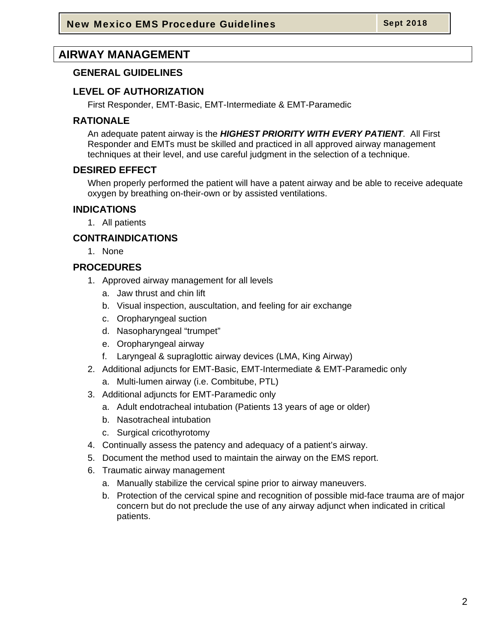## **GENERAL GUIDELINES**

## **LEVEL OF AUTHORIZATION**

First Responder, EMT-Basic, EMT-Intermediate & EMT-Paramedic

#### **RATIONALE**

An adequate patent airway is the *HIGHEST PRIORITY WITH EVERY PATIENT*. All First Responder and EMTs must be skilled and practiced in all approved airway management techniques at their level, and use careful judgment in the selection of a technique.

#### **DESIRED EFFECT**

When properly performed the patient will have a patent airway and be able to receive adequate oxygen by breathing on-their-own or by assisted ventilations.

#### **INDICATIONS**

1. All patients

## **CONTRAINDICATIONS**

1. None

- 1. Approved airway management for all levels
	- a. Jaw thrust and chin lift
	- b. Visual inspection, auscultation, and feeling for air exchange
	- c. Oropharyngeal suction
	- d. Nasopharyngeal "trumpet"
	- e. Oropharyngeal airway
	- f. Laryngeal & supraglottic airway devices (LMA, King Airway)
- 2. Additional adjuncts for EMT-Basic, EMT-Intermediate & EMT-Paramedic only
	- a. Multi-lumen airway (i.e. Combitube, PTL)
- 3. Additional adjuncts for EMT-Paramedic only
	- a. Adult endotracheal intubation (Patients 13 years of age or older)
	- b. Nasotracheal intubation
	- c. Surgical cricothyrotomy
- 4. Continually assess the patency and adequacy of a patient's airway.
- 5. Document the method used to maintain the airway on the EMS report.
- 6. Traumatic airway management
	- a. Manually stabilize the cervical spine prior to airway maneuvers.
	- b. Protection of the cervical spine and recognition of possible mid-face trauma are of major concern but do not preclude the use of any airway adjunct when indicated in critical patients.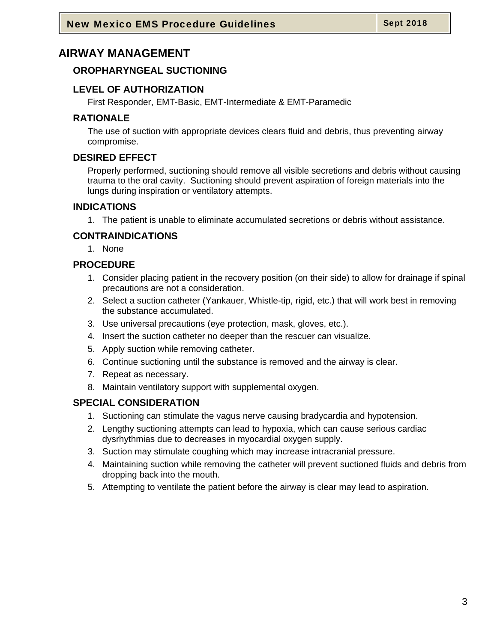## **OROPHARYNGEAL SUCTIONING**

## **LEVEL OF AUTHORIZATION**

First Responder, EMT-Basic, EMT-Intermediate & EMT-Paramedic

## **RATIONALE**

The use of suction with appropriate devices clears fluid and debris, thus preventing airway compromise.

## **DESIRED EFFECT**

Properly performed, suctioning should remove all visible secretions and debris without causing trauma to the oral cavity. Suctioning should prevent aspiration of foreign materials into the lungs during inspiration or ventilatory attempts.

## **INDICATIONS**

1. The patient is unable to eliminate accumulated secretions or debris without assistance.

## **CONTRAINDICATIONS**

1. None

## **PROCEDURE**

- 1. Consider placing patient in the recovery position (on their side) to allow for drainage if spinal precautions are not a consideration.
- 2. Select a suction catheter (Yankauer, Whistle-tip, rigid, etc.) that will work best in removing the substance accumulated.
- 3. Use universal precautions (eye protection, mask, gloves, etc.).
- 4. Insert the suction catheter no deeper than the rescuer can visualize.
- 5. Apply suction while removing catheter.
- 6. Continue suctioning until the substance is removed and the airway is clear.
- 7. Repeat as necessary.
- 8. Maintain ventilatory support with supplemental oxygen.

- 1. Suctioning can stimulate the vagus nerve causing bradycardia and hypotension.
- 2. Lengthy suctioning attempts can lead to hypoxia, which can cause serious cardiac dysrhythmias due to decreases in myocardial oxygen supply.
- 3. Suction may stimulate coughing which may increase intracranial pressure.
- 4. Maintaining suction while removing the catheter will prevent suctioned fluids and debris from dropping back into the mouth.
- 5. Attempting to ventilate the patient before the airway is clear may lead to aspiration.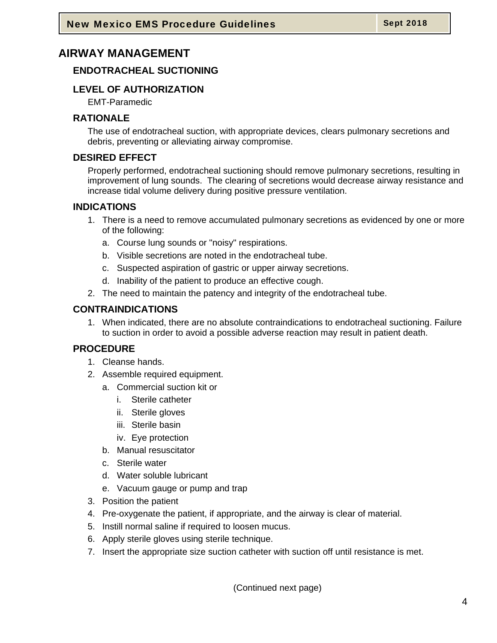## **ENDOTRACHEAL SUCTIONING**

## **LEVEL OF AUTHORIZATION**

EMT-Paramedic

## **RATIONALE**

The use of endotracheal suction, with appropriate devices, clears pulmonary secretions and debris, preventing or alleviating airway compromise.

## **DESIRED EFFECT**

Properly performed, endotracheal suctioning should remove pulmonary secretions, resulting in improvement of lung sounds. The clearing of secretions would decrease airway resistance and increase tidal volume delivery during positive pressure ventilation.

## **INDICATIONS**

- 1. There is a need to remove accumulated pulmonary secretions as evidenced by one or more of the following:
	- a. Course lung sounds or "noisy" respirations.
	- b. Visible secretions are noted in the endotracheal tube.
	- c. Suspected aspiration of gastric or upper airway secretions.
	- d. Inability of the patient to produce an effective cough.
- 2. The need to maintain the patency and integrity of the endotracheal tube.

#### **CONTRAINDICATIONS**

1. When indicated, there are no absolute contraindications to endotracheal suctioning. Failure to suction in order to avoid a possible adverse reaction may result in patient death.

- 1. Cleanse hands.
- 2. Assemble required equipment.
	- a. Commercial suction kit or
		- i. Sterile catheter
		- ii. Sterile gloves
		- iii. Sterile basin
		- iv. Eye protection
	- b. Manual resuscitator
	- c. Sterile water
	- d. Water soluble lubricant
	- e. Vacuum gauge or pump and trap
- 3. Position the patient
- 4. Pre-oxygenate the patient, if appropriate, and the airway is clear of material.
- 5. Instill normal saline if required to loosen mucus.
- 6. Apply sterile gloves using sterile technique.
- 7. Insert the appropriate size suction catheter with suction off until resistance is met.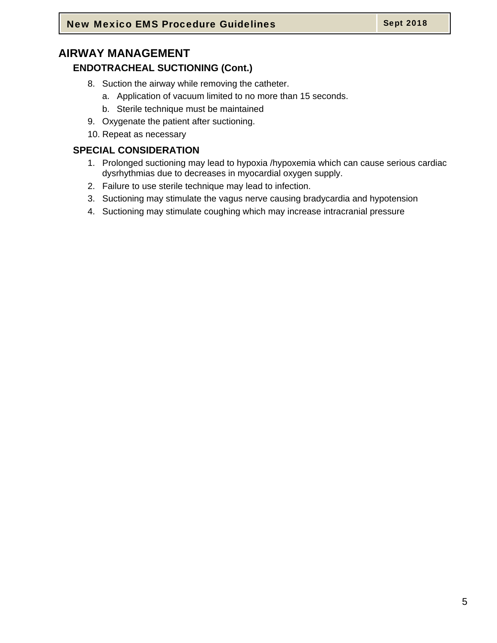## **ENDOTRACHEAL SUCTIONING (Cont.)**

- 8. Suction the airway while removing the catheter.
	- a. Application of vacuum limited to no more than 15 seconds.
	- b. Sterile technique must be maintained
- 9. Oxygenate the patient after suctioning.
- 10. Repeat as necessary

- 1. Prolonged suctioning may lead to hypoxia /hypoxemia which can cause serious cardiac dysrhythmias due to decreases in myocardial oxygen supply.
- 2. Failure to use sterile technique may lead to infection.
- 3. Suctioning may stimulate the vagus nerve causing bradycardia and hypotension
- 4. Suctioning may stimulate coughing which may increase intracranial pressure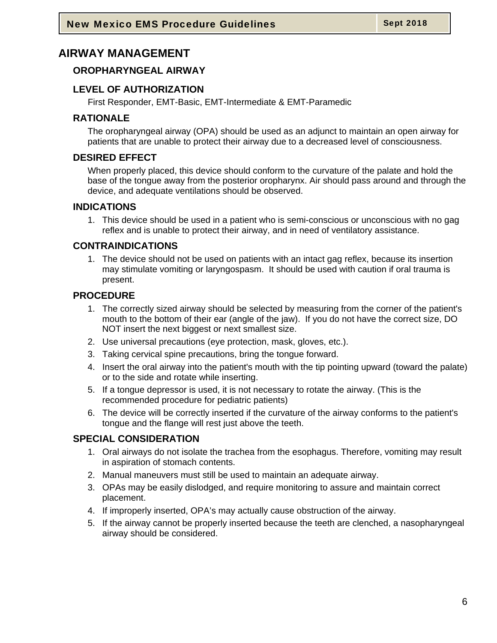## **OROPHARYNGEAL AIRWAY**

#### **LEVEL OF AUTHORIZATION**

First Responder, EMT-Basic, EMT-Intermediate & EMT-Paramedic

#### **RATIONALE**

The oropharyngeal airway (OPA) should be used as an adjunct to maintain an open airway for patients that are unable to protect their airway due to a decreased level of consciousness.

#### **DESIRED EFFECT**

When properly placed, this device should conform to the curvature of the palate and hold the base of the tongue away from the posterior oropharynx. Air should pass around and through the device, and adequate ventilations should be observed.

#### **INDICATIONS**

1. This device should be used in a patient who is semi-conscious or unconscious with no gag reflex and is unable to protect their airway, and in need of ventilatory assistance.

#### **CONTRAINDICATIONS**

1. The device should not be used on patients with an intact gag reflex, because its insertion may stimulate vomiting or laryngospasm. It should be used with caution if oral trauma is present.

#### **PROCEDURE**

- 1. The correctly sized airway should be selected by measuring from the corner of the patient's mouth to the bottom of their ear (angle of the jaw). If you do not have the correct size, DO NOT insert the next biggest or next smallest size.
- 2. Use universal precautions (eye protection, mask, gloves, etc.).
- 3. Taking cervical spine precautions, bring the tongue forward.
- 4. Insert the oral airway into the patient's mouth with the tip pointing upward (toward the palate) or to the side and rotate while inserting.
- 5. If a tongue depressor is used, it is not necessary to rotate the airway. (This is the recommended procedure for pediatric patients)
- 6. The device will be correctly inserted if the curvature of the airway conforms to the patient's tongue and the flange will rest just above the teeth.

- 1. Oral airways do not isolate the trachea from the esophagus. Therefore, vomiting may result in aspiration of stomach contents.
- 2. Manual maneuvers must still be used to maintain an adequate airway.
- 3. OPAs may be easily dislodged, and require monitoring to assure and maintain correct placement.
- 4. If improperly inserted, OPA's may actually cause obstruction of the airway.
- 5. If the airway cannot be properly inserted because the teeth are clenched, a nasopharyngeal airway should be considered.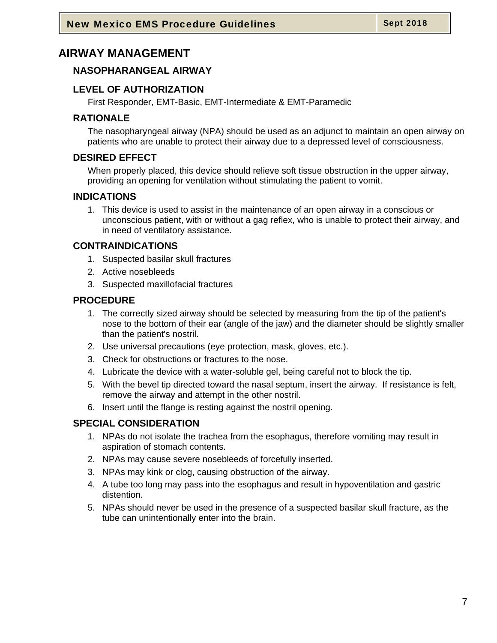## **NASOPHARANGEAL AIRWAY**

## **LEVEL OF AUTHORIZATION**

First Responder, EMT-Basic, EMT-Intermediate & EMT-Paramedic

## **RATIONALE**

The nasopharyngeal airway (NPA) should be used as an adjunct to maintain an open airway on patients who are unable to protect their airway due to a depressed level of consciousness.

## **DESIRED EFFECT**

When properly placed, this device should relieve soft tissue obstruction in the upper airway, providing an opening for ventilation without stimulating the patient to vomit.

#### **INDICATIONS**

1. This device is used to assist in the maintenance of an open airway in a conscious or unconscious patient, with or without a gag reflex, who is unable to protect their airway, and in need of ventilatory assistance.

#### **CONTRAINDICATIONS**

- 1. Suspected basilar skull fractures
- 2. Active nosebleeds
- 3. Suspected maxillofacial fractures

## **PROCEDURE**

- 1. The correctly sized airway should be selected by measuring from the tip of the patient's nose to the bottom of their ear (angle of the jaw) and the diameter should be slightly smaller than the patient's nostril.
- 2. Use universal precautions (eye protection, mask, gloves, etc.).
- 3. Check for obstructions or fractures to the nose.
- 4. Lubricate the device with a water-soluble gel, being careful not to block the tip.
- 5. With the bevel tip directed toward the nasal septum, insert the airway. If resistance is felt, remove the airway and attempt in the other nostril.
- 6. Insert until the flange is resting against the nostril opening.

- 1. NPAs do not isolate the trachea from the esophagus, therefore vomiting may result in aspiration of stomach contents.
- 2. NPAs may cause severe nosebleeds of forcefully inserted.
- 3. NPAs may kink or clog, causing obstruction of the airway.
- 4. A tube too long may pass into the esophagus and result in hypoventilation and gastric distention.
- 5. NPAs should never be used in the presence of a suspected basilar skull fracture, as the tube can unintentionally enter into the brain.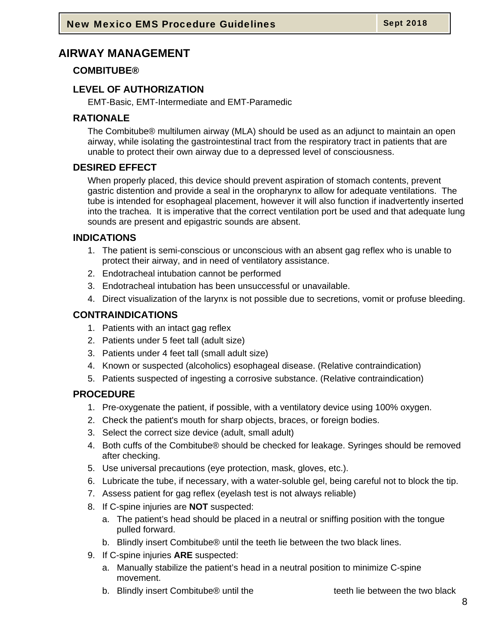## **COMBITUBE®**

## **LEVEL OF AUTHORIZATION**

EMT-Basic, EMT-Intermediate and EMT-Paramedic

## **RATIONALE**

The Combitube® multilumen airway (MLA) should be used as an adjunct to maintain an open airway, while isolating the gastrointestinal tract from the respiratory tract in patients that are unable to protect their own airway due to a depressed level of consciousness.

## **DESIRED EFFECT**

When properly placed, this device should prevent aspiration of stomach contents, prevent gastric distention and provide a seal in the oropharynx to allow for adequate ventilations. The tube is intended for esophageal placement, however it will also function if inadvertently inserted into the trachea. It is imperative that the correct ventilation port be used and that adequate lung sounds are present and epigastric sounds are absent.

#### **INDICATIONS**

- 1. The patient is semi-conscious or unconscious with an absent gag reflex who is unable to protect their airway, and in need of ventilatory assistance.
- 2. Endotracheal intubation cannot be performed
- 3. Endotracheal intubation has been unsuccessful or unavailable.
- 4. Direct visualization of the larynx is not possible due to secretions, vomit or profuse bleeding.

## **CONTRAINDICATIONS**

- 1. Patients with an intact gag reflex
- 2. Patients under 5 feet tall (adult size)
- 3. Patients under 4 feet tall (small adult size)
- 4. Known or suspected (alcoholics) esophageal disease. (Relative contraindication)
- 5. Patients suspected of ingesting a corrosive substance. (Relative contraindication)

- 1. Pre-oxygenate the patient, if possible, with a ventilatory device using 100% oxygen.
- 2. Check the patient's mouth for sharp objects, braces, or foreign bodies.
- 3. Select the correct size device (adult, small adult)
- 4. Both cuffs of the Combitube® should be checked for leakage. Syringes should be removed after checking.
- 5. Use universal precautions (eye protection, mask, gloves, etc.).
- 6. Lubricate the tube, if necessary, with a water-soluble gel, being careful not to block the tip.
- 7. Assess patient for gag reflex (eyelash test is not always reliable)
- 8. If C-spine injuries are **NOT** suspected:
	- a. The patient's head should be placed in a neutral or sniffing position with the tongue pulled forward.
	- b. Blindly insert Combitube® until the teeth lie between the two black lines.
- 9. If C-spine injuries **ARE** suspected:
	- a. Manually stabilize the patient's head in a neutral position to minimize C-spine movement.
	- b. Blindly insert Combitube® until the the teeth lie between the two black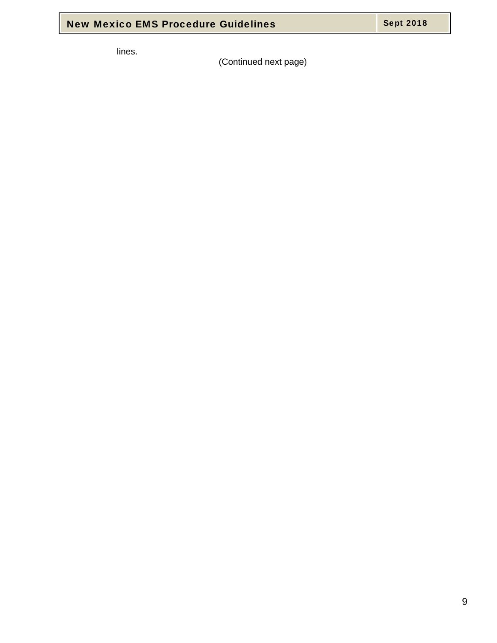lines.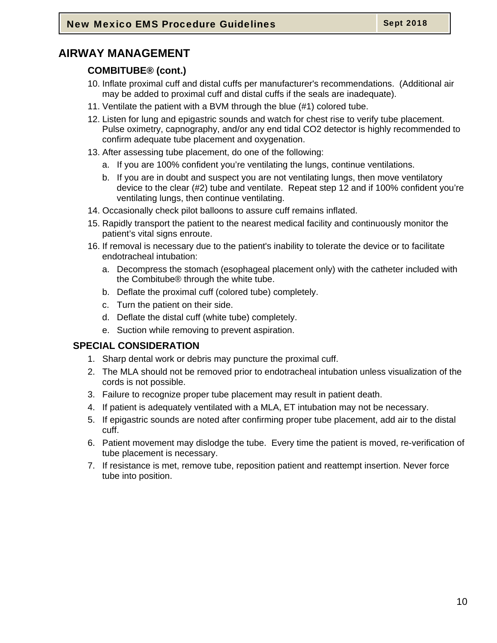## **COMBITUBE® (cont.)**

- 10. Inflate proximal cuff and distal cuffs per manufacturer's recommendations. (Additional air may be added to proximal cuff and distal cuffs if the seals are inadequate).
- 11. Ventilate the patient with a BVM through the blue (#1) colored tube.
- 12. Listen for lung and epigastric sounds and watch for chest rise to verify tube placement. Pulse oximetry, capnography, and/or any end tidal CO2 detector is highly recommended to confirm adequate tube placement and oxygenation.
- 13. After assessing tube placement, do one of the following:
	- a. If you are 100% confident you're ventilating the lungs, continue ventilations.
	- b. If you are in doubt and suspect you are not ventilating lungs, then move ventilatory device to the clear (#2) tube and ventilate. Repeat step 12 and if 100% confident you're ventilating lungs, then continue ventilating.
- 14. Occasionally check pilot balloons to assure cuff remains inflated.
- 15. Rapidly transport the patient to the nearest medical facility and continuously monitor the patient's vital signs enroute.
- 16. If removal is necessary due to the patient's inability to tolerate the device or to facilitate endotracheal intubation:
	- a. Decompress the stomach (esophageal placement only) with the catheter included with the Combitube® through the white tube.
	- b. Deflate the proximal cuff (colored tube) completely.
	- c. Turn the patient on their side.
	- d. Deflate the distal cuff (white tube) completely.
	- e. Suction while removing to prevent aspiration.

- 1. Sharp dental work or debris may puncture the proximal cuff.
- 2. The MLA should not be removed prior to endotracheal intubation unless visualization of the cords is not possible.
- 3. Failure to recognize proper tube placement may result in patient death.
- 4. If patient is adequately ventilated with a MLA, ET intubation may not be necessary.
- 5. If epigastric sounds are noted after confirming proper tube placement, add air to the distal cuff.
- 6. Patient movement may dislodge the tube. Every time the patient is moved, re-verification of tube placement is necessary.
- 7. If resistance is met, remove tube, reposition patient and reattempt insertion. Never force tube into position.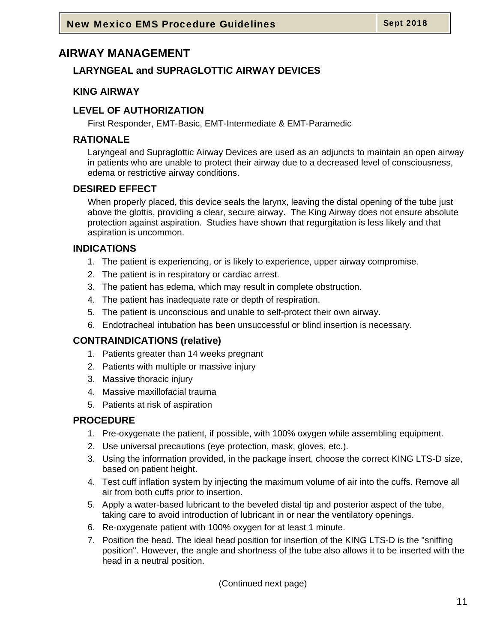## **LARYNGEAL and SUPRAGLOTTIC AIRWAY DEVICES**

## **KING AIRWAY**

## **LEVEL OF AUTHORIZATION**

First Responder, EMT-Basic, EMT-Intermediate & EMT-Paramedic

## **RATIONALE**

Laryngeal and Supraglottic Airway Devices are used as an adjuncts to maintain an open airway in patients who are unable to protect their airway due to a decreased level of consciousness, edema or restrictive airway conditions.

## **DESIRED EFFECT**

When properly placed, this device seals the larynx, leaving the distal opening of the tube just above the glottis, providing a clear, secure airway. The King Airway does not ensure absolute protection against aspiration. Studies have shown that regurgitation is less likely and that aspiration is uncommon.

#### **INDICATIONS**

- 1. The patient is experiencing, or is likely to experience, upper airway compromise.
- 2. The patient is in respiratory or cardiac arrest.
- 3. The patient has edema, which may result in complete obstruction.
- 4. The patient has inadequate rate or depth of respiration.
- 5. The patient is unconscious and unable to self-protect their own airway.
- 6. Endotracheal intubation has been unsuccessful or blind insertion is necessary.

## **CONTRAINDICATIONS (relative)**

- 1. Patients greater than 14 weeks pregnant
- 2. Patients with multiple or massive injury
- 3. Massive thoracic injury
- 4. Massive maxillofacial trauma
- 5. Patients at risk of aspiration

## **PROCEDURE**

- 1. Pre-oxygenate the patient, if possible, with 100% oxygen while assembling equipment.
- 2. Use universal precautions (eye protection, mask, gloves, etc.).
- 3. Using the information provided, in the package insert, choose the correct KING LTS-D size, based on patient height.
- 4. Test cuff inflation system by injecting the maximum volume of air into the cuffs. Remove all air from both cuffs prior to insertion.
- 5. Apply a water-based lubricant to the beveled distal tip and posterior aspect of the tube, taking care to avoid introduction of lubricant in or near the ventilatory openings.
- 6. Re-oxygenate patient with 100% oxygen for at least 1 minute.
- 7. Position the head. The ideal head position for insertion of the KING LTS-D is the "sniffing position". However, the angle and shortness of the tube also allows it to be inserted with the head in a neutral position.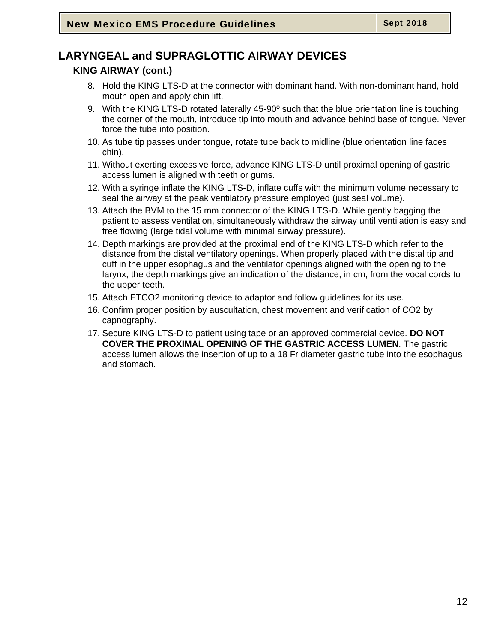# **LARYNGEAL and SUPRAGLOTTIC AIRWAY DEVICES**

## **KING AIRWAY (cont.)**

- 8. Hold the KING LTS-D at the connector with dominant hand. With non-dominant hand, hold mouth open and apply chin lift.
- 9. With the KING LTS-D rotated laterally 45-90° such that the blue orientation line is touching the corner of the mouth, introduce tip into mouth and advance behind base of tongue. Never force the tube into position.
- 10. As tube tip passes under tongue, rotate tube back to midline (blue orientation line faces chin).
- 11. Without exerting excessive force, advance KING LTS-D until proximal opening of gastric access lumen is aligned with teeth or gums.
- 12. With a syringe inflate the KING LTS-D, inflate cuffs with the minimum volume necessary to seal the airway at the peak ventilatory pressure employed (just seal volume).
- 13. Attach the BVM to the 15 mm connector of the KING LTS-D. While gently bagging the patient to assess ventilation, simultaneously withdraw the airway until ventilation is easy and free flowing (large tidal volume with minimal airway pressure).
- 14. Depth markings are provided at the proximal end of the KING LTS-D which refer to the distance from the distal ventilatory openings. When properly placed with the distal tip and cuff in the upper esophagus and the ventilator openings aligned with the opening to the larynx, the depth markings give an indication of the distance, in cm, from the vocal cords to the upper teeth.
- 15. Attach ETCO2 monitoring device to adaptor and follow guidelines for its use.
- 16. Confirm proper position by auscultation, chest movement and verification of CO2 by capnography.
- 17. Secure KING LTS-D to patient using tape or an approved commercial device. **DO NOT COVER THE PROXIMAL OPENING OF THE GASTRIC ACCESS LUMEN**. The gastric access lumen allows the insertion of up to a 18 Fr diameter gastric tube into the esophagus and stomach.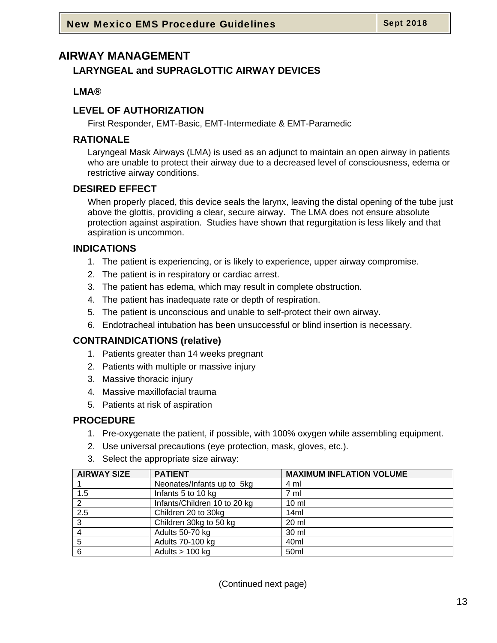## **LARYNGEAL and SUPRAGLOTTIC AIRWAY DEVICES**

## **LMA®**

## **LEVEL OF AUTHORIZATION**

First Responder, EMT-Basic, EMT-Intermediate & EMT-Paramedic

## **RATIONALE**

Laryngeal Mask Airways (LMA) is used as an adjunct to maintain an open airway in patients who are unable to protect their airway due to a decreased level of consciousness, edema or restrictive airway conditions.

## **DESIRED EFFECT**

When properly placed, this device seals the larynx, leaving the distal opening of the tube just above the glottis, providing a clear, secure airway. The LMA does not ensure absolute protection against aspiration. Studies have shown that regurgitation is less likely and that aspiration is uncommon.

## **INDICATIONS**

- 1. The patient is experiencing, or is likely to experience, upper airway compromise.
- 2. The patient is in respiratory or cardiac arrest.
- 3. The patient has edema, which may result in complete obstruction.
- 4. The patient has inadequate rate or depth of respiration.
- 5. The patient is unconscious and unable to self-protect their own airway.
- 6. Endotracheal intubation has been unsuccessful or blind insertion is necessary.

## **CONTRAINDICATIONS (relative)**

- 1. Patients greater than 14 weeks pregnant
- 2. Patients with multiple or massive injury
- 3. Massive thoracic injury
- 4. Massive maxillofacial trauma
- 5. Patients at risk of aspiration

## **PROCEDURE**

- 1. Pre-oxygenate the patient, if possible, with 100% oxygen while assembling equipment.
- 2. Use universal precautions (eye protection, mask, gloves, etc.).
- 3. Select the appropriate size airway:

| <b>AIRWAY SIZE</b> | <b>PATIENT</b>               | <b>MAXIMUM INFLATION VOLUME</b> |
|--------------------|------------------------------|---------------------------------|
|                    | Neonates/Infants up to 5kg   | 4 ml                            |
| 1.5                | Infants 5 to 10 kg           | 7 ml                            |
| 2                  | Infants/Children 10 to 20 kg | $10 \mathrm{m}$                 |
| 2.5                | Children 20 to 30kg          | 14ml                            |
| 3                  | Children 30kg to 50 kg       | 20 ml                           |
|                    | Adults 50-70 kg              | 30 ml                           |
| 5                  | Adults 70-100 kg             | 40ml                            |
| 6                  | Adults $> 100$ kg            | 50 <sub>ml</sub>                |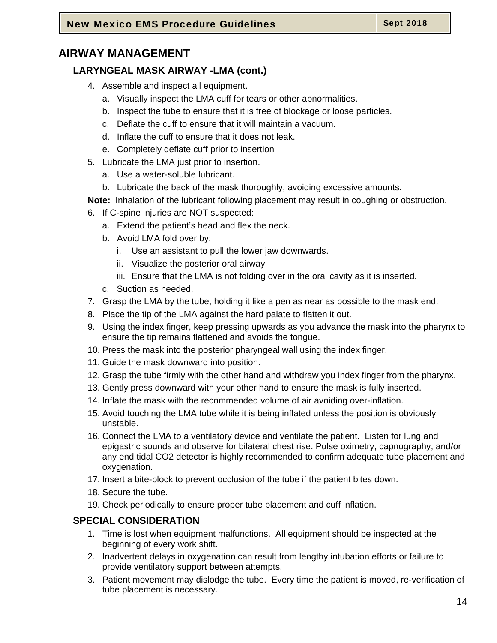## **LARYNGEAL MASK AIRWAY -LMA (cont.)**

- 4. Assemble and inspect all equipment.
	- a. Visually inspect the LMA cuff for tears or other abnormalities.
	- b. Inspect the tube to ensure that it is free of blockage or loose particles.
	- c. Deflate the cuff to ensure that it will maintain a vacuum.
	- d. Inflate the cuff to ensure that it does not leak.
	- e. Completely deflate cuff prior to insertion
- 5. Lubricate the LMA just prior to insertion.
	- a. Use a water-soluble lubricant.
	- b. Lubricate the back of the mask thoroughly, avoiding excessive amounts.
- **Note:** Inhalation of the lubricant following placement may result in coughing or obstruction.
- 6. If C-spine injuries are NOT suspected:
	- a. Extend the patient's head and flex the neck.
	- b. Avoid LMA fold over by:
		- i. Use an assistant to pull the lower jaw downwards.
		- ii. Visualize the posterior oral airway
		- iii. Ensure that the LMA is not folding over in the oral cavity as it is inserted.
	- c. Suction as needed.
- 7. Grasp the LMA by the tube, holding it like a pen as near as possible to the mask end.
- 8. Place the tip of the LMA against the hard palate to flatten it out.
- 9. Using the index finger, keep pressing upwards as you advance the mask into the pharynx to ensure the tip remains flattened and avoids the tongue.
- 10. Press the mask into the posterior pharyngeal wall using the index finger.
- 11. Guide the mask downward into position.
- 12. Grasp the tube firmly with the other hand and withdraw you index finger from the pharynx.
- 13. Gently press downward with your other hand to ensure the mask is fully inserted.
- 14. Inflate the mask with the recommended volume of air avoiding over-inflation.
- 15. Avoid touching the LMA tube while it is being inflated unless the position is obviously unstable.
- 16. Connect the LMA to a ventilatory device and ventilate the patient. Listen for lung and epigastric sounds and observe for bilateral chest rise. Pulse oximetry, capnography, and/or any end tidal CO2 detector is highly recommended to confirm adequate tube placement and oxygenation.
- 17. Insert a bite-block to prevent occlusion of the tube if the patient bites down.
- 18. Secure the tube.
- 19. Check periodically to ensure proper tube placement and cuff inflation.

- 1. Time is lost when equipment malfunctions. All equipment should be inspected at the beginning of every work shift.
- 2. Inadvertent delays in oxygenation can result from lengthy intubation efforts or failure to provide ventilatory support between attempts.
- 3. Patient movement may dislodge the tube. Every time the patient is moved, re-verification of tube placement is necessary.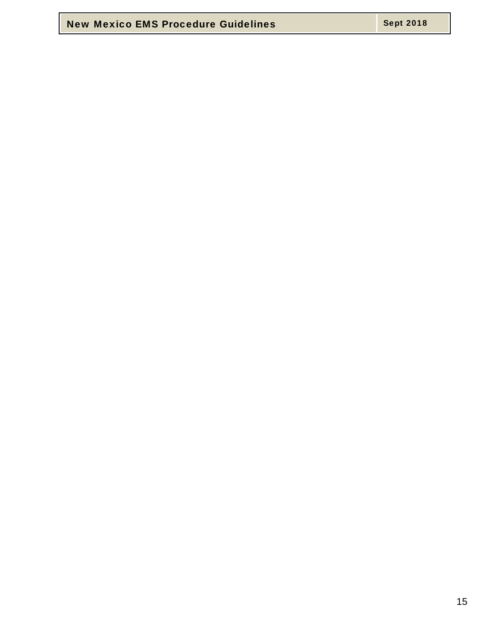# New Mexico EMS Procedure Guidelines Sept 2018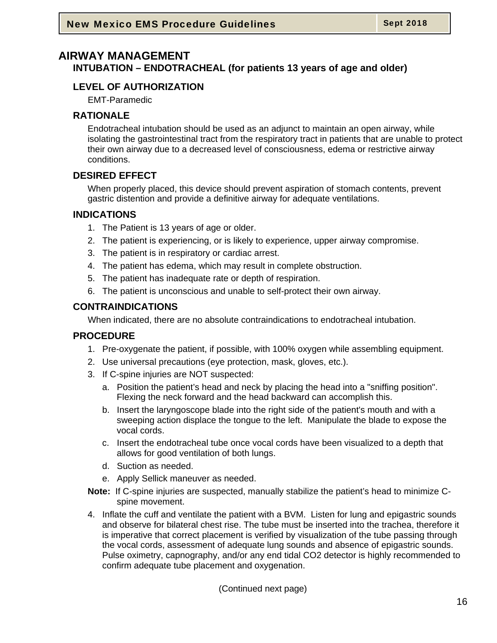## **INTUBATION – ENDOTRACHEAL (for patients 13 years of age and older)**

## **LEVEL OF AUTHORIZATION**

EMT-Paramedic

## **RATIONALE**

Endotracheal intubation should be used as an adjunct to maintain an open airway, while isolating the gastrointestinal tract from the respiratory tract in patients that are unable to protect their own airway due to a decreased level of consciousness, edema or restrictive airway conditions.

## **DESIRED EFFECT**

When properly placed, this device should prevent aspiration of stomach contents, prevent gastric distention and provide a definitive airway for adequate ventilations.

#### **INDICATIONS**

- 1. The Patient is 13 years of age or older.
- 2. The patient is experiencing, or is likely to experience, upper airway compromise.
- 3. The patient is in respiratory or cardiac arrest.
- 4. The patient has edema, which may result in complete obstruction.
- 5. The patient has inadequate rate or depth of respiration.
- 6. The patient is unconscious and unable to self-protect their own airway.

#### **CONTRAINDICATIONS**

When indicated, there are no absolute contraindications to endotracheal intubation.

#### **PROCEDURE**

- 1. Pre-oxygenate the patient, if possible, with 100% oxygen while assembling equipment.
- 2. Use universal precautions (eye protection, mask, gloves, etc.).
- 3. If C-spine injuries are NOT suspected:
	- a. Position the patient's head and neck by placing the head into a "sniffing position". Flexing the neck forward and the head backward can accomplish this.
	- b. Insert the laryngoscope blade into the right side of the patient's mouth and with a sweeping action displace the tongue to the left. Manipulate the blade to expose the vocal cords.
	- c. Insert the endotracheal tube once vocal cords have been visualized to a depth that allows for good ventilation of both lungs.
	- d. Suction as needed.
	- e. Apply Sellick maneuver as needed.
- **Note:** If C-spine injuries are suspected, manually stabilize the patient's head to minimize Cspine movement.
- 4. Inflate the cuff and ventilate the patient with a BVM. Listen for lung and epigastric sounds and observe for bilateral chest rise. The tube must be inserted into the trachea, therefore it is imperative that correct placement is verified by visualization of the tube passing through the vocal cords, assessment of adequate lung sounds and absence of epigastric sounds. Pulse oximetry, capnography, and/or any end tidal CO2 detector is highly recommended to confirm adequate tube placement and oxygenation.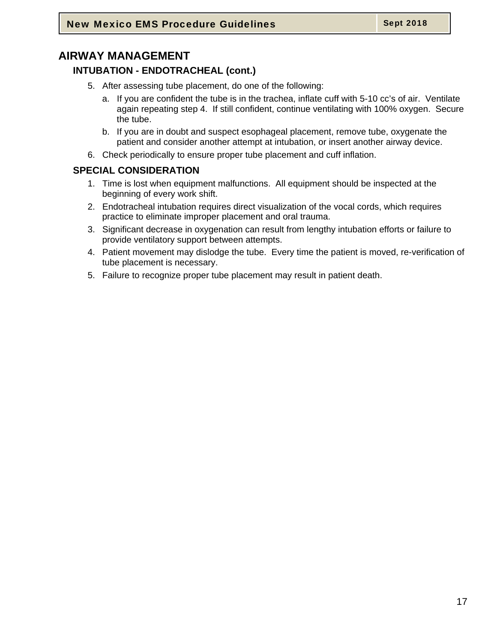## **INTUBATION - ENDOTRACHEAL (cont.)**

- 5. After assessing tube placement, do one of the following:
	- a. If you are confident the tube is in the trachea, inflate cuff with 5-10 cc's of air. Ventilate again repeating step 4. If still confident, continue ventilating with 100% oxygen. Secure the tube.
	- b. If you are in doubt and suspect esophageal placement, remove tube, oxygenate the patient and consider another attempt at intubation, or insert another airway device.
- 6. Check periodically to ensure proper tube placement and cuff inflation.

- 1. Time is lost when equipment malfunctions. All equipment should be inspected at the beginning of every work shift.
- 2. Endotracheal intubation requires direct visualization of the vocal cords, which requires practice to eliminate improper placement and oral trauma.
- 3. Significant decrease in oxygenation can result from lengthy intubation efforts or failure to provide ventilatory support between attempts.
- 4. Patient movement may dislodge the tube. Every time the patient is moved, re-verification of tube placement is necessary.
- 5. Failure to recognize proper tube placement may result in patient death.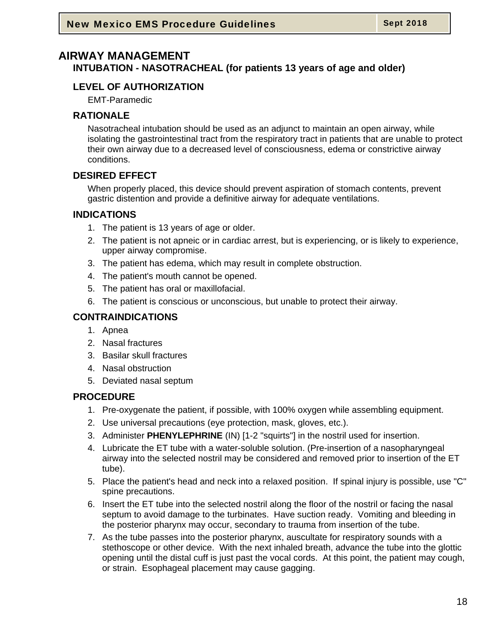## **INTUBATION - NASOTRACHEAL (for patients 13 years of age and older)**

## **LEVEL OF AUTHORIZATION**

EMT-Paramedic

## **RATIONALE**

Nasotracheal intubation should be used as an adjunct to maintain an open airway, while isolating the gastrointestinal tract from the respiratory tract in patients that are unable to protect their own airway due to a decreased level of consciousness, edema or constrictive airway conditions.

## **DESIRED EFFECT**

When properly placed, this device should prevent aspiration of stomach contents, prevent gastric distention and provide a definitive airway for adequate ventilations.

## **INDICATIONS**

- 1. The patient is 13 years of age or older.
- 2. The patient is not apneic or in cardiac arrest, but is experiencing, or is likely to experience, upper airway compromise.
- 3. The patient has edema, which may result in complete obstruction.
- 4. The patient's mouth cannot be opened.
- 5. The patient has oral or maxillofacial.
- 6. The patient is conscious or unconscious, but unable to protect their airway.

#### **CONTRAINDICATIONS**

- 1. Apnea
- 2. Nasal fractures
- 3. Basilar skull fractures
- 4. Nasal obstruction
- 5. Deviated nasal septum

- 1. Pre-oxygenate the patient, if possible, with 100% oxygen while assembling equipment.
- 2. Use universal precautions (eye protection, mask, gloves, etc.).
- 3. Administer **PHENYLEPHRINE** (IN) [1-2 "squirts"] in the nostril used for insertion.
- 4. Lubricate the ET tube with a water-soluble solution. (Pre-insertion of a nasopharyngeal airway into the selected nostril may be considered and removed prior to insertion of the ET tube).
- 5. Place the patient's head and neck into a relaxed position. If spinal injury is possible, use "C" spine precautions.
- 6. Insert the ET tube into the selected nostril along the floor of the nostril or facing the nasal septum to avoid damage to the turbinates. Have suction ready. Vomiting and bleeding in the posterior pharynx may occur, secondary to trauma from insertion of the tube.
- 7. As the tube passes into the posterior pharynx, auscultate for respiratory sounds with a stethoscope or other device. With the next inhaled breath, advance the tube into the glottic opening until the distal cuff is just past the vocal cords. At this point, the patient may cough, or strain. Esophageal placement may cause gagging.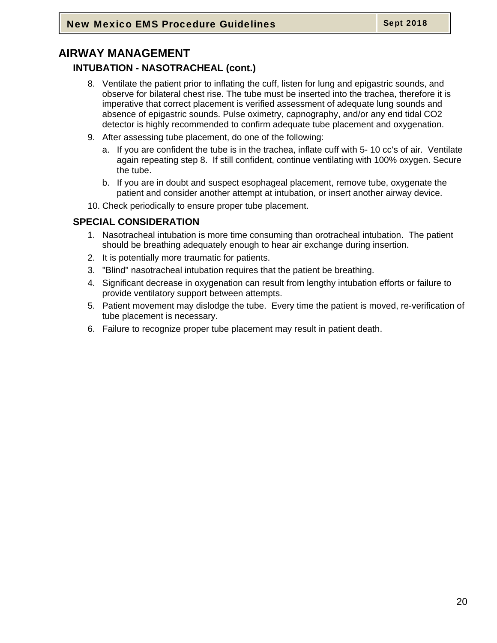## **INTUBATION - NASOTRACHEAL (cont.)**

- 8. Ventilate the patient prior to inflating the cuff, listen for lung and epigastric sounds, and observe for bilateral chest rise. The tube must be inserted into the trachea, therefore it is imperative that correct placement is verified assessment of adequate lung sounds and absence of epigastric sounds. Pulse oximetry, capnography, and/or any end tidal CO2 detector is highly recommended to confirm adequate tube placement and oxygenation.
- 9. After assessing tube placement, do one of the following:
	- a. If you are confident the tube is in the trachea, inflate cuff with 5- 10 cc's of air. Ventilate again repeating step 8. If still confident, continue ventilating with 100% oxygen. Secure the tube.
	- b. If you are in doubt and suspect esophageal placement, remove tube, oxygenate the patient and consider another attempt at intubation, or insert another airway device.
- 10. Check periodically to ensure proper tube placement.

- 1. Nasotracheal intubation is more time consuming than orotracheal intubation. The patient should be breathing adequately enough to hear air exchange during insertion.
- 2. It is potentially more traumatic for patients.
- 3. "Blind" nasotracheal intubation requires that the patient be breathing.
- 4. Significant decrease in oxygenation can result from lengthy intubation efforts or failure to provide ventilatory support between attempts.
- 5. Patient movement may dislodge the tube. Every time the patient is moved, re-verification of tube placement is necessary.
- 6. Failure to recognize proper tube placement may result in patient death.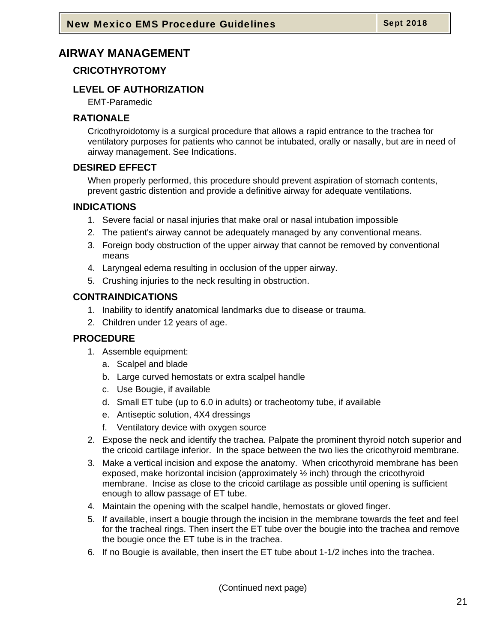## **CRICOTHYROTOMY**

## **LEVEL OF AUTHORIZATION**

EMT-Paramedic

## **RATIONALE**

Cricothyroidotomy is a surgical procedure that allows a rapid entrance to the trachea for ventilatory purposes for patients who cannot be intubated, orally or nasally, but are in need of airway management. See Indications.

## **DESIRED EFFECT**

When properly performed, this procedure should prevent aspiration of stomach contents, prevent gastric distention and provide a definitive airway for adequate ventilations.

## **INDICATIONS**

- 1. Severe facial or nasal injuries that make oral or nasal intubation impossible
- 2. The patient's airway cannot be adequately managed by any conventional means.
- 3. Foreign body obstruction of the upper airway that cannot be removed by conventional means
- 4. Laryngeal edema resulting in occlusion of the upper airway.
- 5. Crushing injuries to the neck resulting in obstruction.

## **CONTRAINDICATIONS**

- 1. Inability to identify anatomical landmarks due to disease or trauma.
- 2. Children under 12 years of age.

- 1. Assemble equipment:
	- a. Scalpel and blade
	- b. Large curved hemostats or extra scalpel handle
	- c. Use Bougie, if available
	- d. Small ET tube (up to 6.0 in adults) or tracheotomy tube, if available
	- e. Antiseptic solution, 4X4 dressings
	- f. Ventilatory device with oxygen source
- 2. Expose the neck and identify the trachea. Palpate the prominent thyroid notch superior and the cricoid cartilage inferior. In the space between the two lies the cricothyroid membrane.
- 3. Make a vertical incision and expose the anatomy. When cricothyroid membrane has been exposed, make horizontal incision (approximately  $\frac{1}{2}$  inch) through the cricothyroid membrane. Incise as close to the cricoid cartilage as possible until opening is sufficient enough to allow passage of ET tube.
- 4. Maintain the opening with the scalpel handle, hemostats or gloved finger.
- 5. If available, insert a bougie through the incision in the membrane towards the feet and feel for the tracheal rings. Then insert the ET tube over the bougie into the trachea and remove the bougie once the ET tube is in the trachea.
- 6. If no Bougie is available, then insert the ET tube about 1-1/2 inches into the trachea.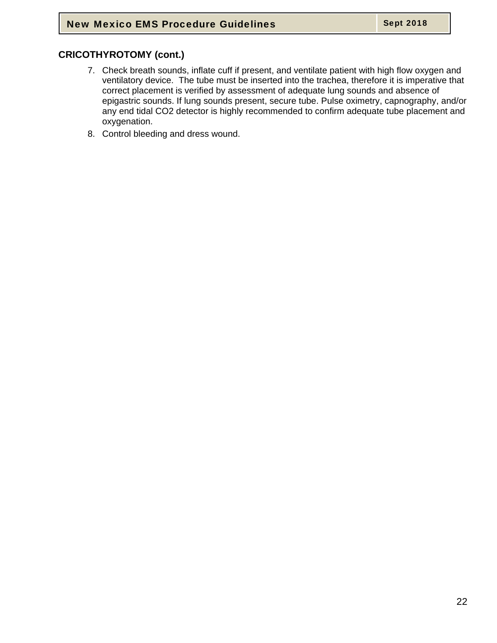## **CRICOTHYROTOMY (cont.)**

- 7. Check breath sounds, inflate cuff if present, and ventilate patient with high flow oxygen and ventilatory device. The tube must be inserted into the trachea, therefore it is imperative that correct placement is verified by assessment of adequate lung sounds and absence of epigastric sounds. If lung sounds present, secure tube. Pulse oximetry, capnography, and/or any end tidal CO2 detector is highly recommended to confirm adequate tube placement and oxygenation.
- 8. Control bleeding and dress wound.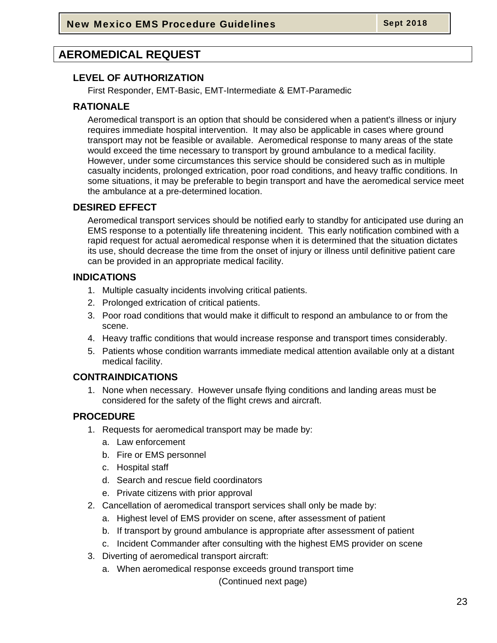# **AEROMEDICAL REQUEST**

## **LEVEL OF AUTHORIZATION**

First Responder, EMT-Basic, EMT-Intermediate & EMT-Paramedic

## **RATIONALE**

Aeromedical transport is an option that should be considered when a patient's illness or injury requires immediate hospital intervention. It may also be applicable in cases where ground transport may not be feasible or available. Aeromedical response to many areas of the state would exceed the time necessary to transport by ground ambulance to a medical facility. However, under some circumstances this service should be considered such as in multiple casualty incidents, prolonged extrication, poor road conditions, and heavy traffic conditions. In some situations, it may be preferable to begin transport and have the aeromedical service meet the ambulance at a pre-determined location.

## **DESIRED EFFECT**

Aeromedical transport services should be notified early to standby for anticipated use during an EMS response to a potentially life threatening incident. This early notification combined with a rapid request for actual aeromedical response when it is determined that the situation dictates its use, should decrease the time from the onset of injury or illness until definitive patient care can be provided in an appropriate medical facility.

## **INDICATIONS**

- 1. Multiple casualty incidents involving critical patients.
- 2. Prolonged extrication of critical patients.
- 3. Poor road conditions that would make it difficult to respond an ambulance to or from the scene.
- 4. Heavy traffic conditions that would increase response and transport times considerably.
- 5. Patients whose condition warrants immediate medical attention available only at a distant medical facility.

## **CONTRAINDICATIONS**

1. None when necessary. However unsafe flying conditions and landing areas must be considered for the safety of the flight crews and aircraft.

## **PROCEDURE**

- 1. Requests for aeromedical transport may be made by:
	- a. Law enforcement
	- b. Fire or EMS personnel
	- c. Hospital staff
	- d. Search and rescue field coordinators
	- e. Private citizens with prior approval
- 2. Cancellation of aeromedical transport services shall only be made by:
	- a. Highest level of EMS provider on scene, after assessment of patient
	- b. If transport by ground ambulance is appropriate after assessment of patient
	- c. Incident Commander after consulting with the highest EMS provider on scene
- 3. Diverting of aeromedical transport aircraft:
	- a. When aeromedical response exceeds ground transport time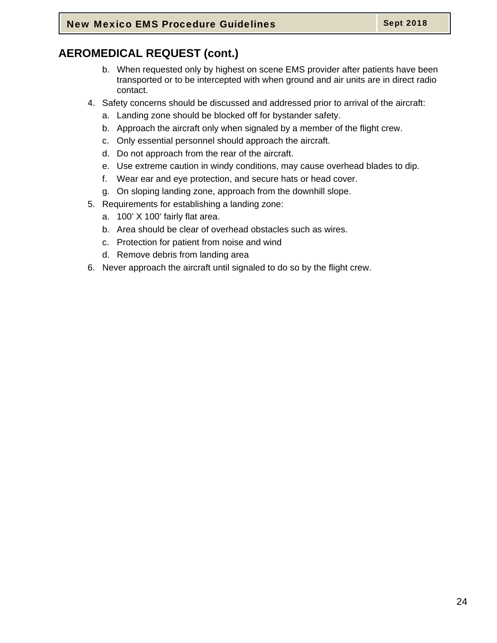# **AEROMEDICAL REQUEST (cont.)**

- b. When requested only by highest on scene EMS provider after patients have been transported or to be intercepted with when ground and air units are in direct radio contact.
- 4. Safety concerns should be discussed and addressed prior to arrival of the aircraft:
	- a. Landing zone should be blocked off for bystander safety.
	- b. Approach the aircraft only when signaled by a member of the flight crew.
	- c. Only essential personnel should approach the aircraft.
	- d. Do not approach from the rear of the aircraft.
	- e. Use extreme caution in windy conditions, may cause overhead blades to dip.
	- f. Wear ear and eye protection, and secure hats or head cover.
	- g. On sloping landing zone, approach from the downhill slope.
- 5. Requirements for establishing a landing zone:
	- a. 100' X 100' fairly flat area.
	- b. Area should be clear of overhead obstacles such as wires.
	- c. Protection for patient from noise and wind
	- d. Remove debris from landing area
- 6. Never approach the aircraft until signaled to do so by the flight crew.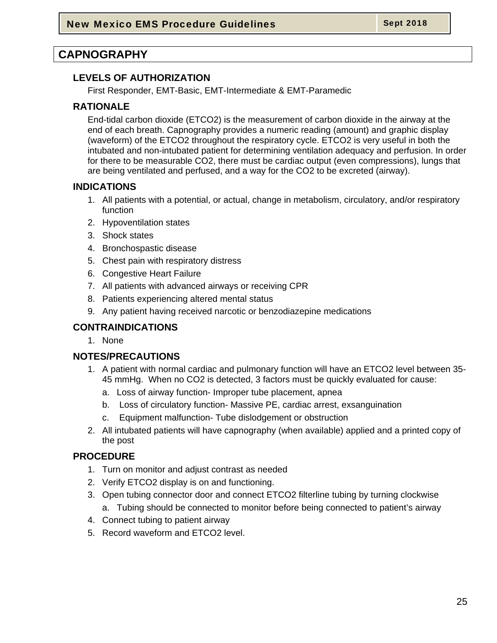# **CAPNOGRAPHY**

## **LEVELS OF AUTHORIZATION**

First Responder, EMT-Basic, EMT-Intermediate & EMT-Paramedic

## **RATIONALE**

End-tidal carbon dioxide (ETCO2) is the measurement of carbon dioxide in the airway at the end of each breath. Capnography provides a numeric reading (amount) and graphic display (waveform) of the ETCO2 throughout the respiratory cycle. ETCO2 is very useful in both the intubated and non-intubated patient for determining ventilation adequacy and perfusion. In order for there to be measurable CO2, there must be cardiac output (even compressions), lungs that are being ventilated and perfused, and a way for the CO2 to be excreted (airway).

## **INDICATIONS**

- 1. All patients with a potential, or actual, change in metabolism, circulatory, and/or respiratory function
- 2. Hypoventilation states
- 3. Shock states
- 4. Bronchospastic disease
- 5. Chest pain with respiratory distress
- 6. Congestive Heart Failure
- 7. All patients with advanced airways or receiving CPR
- 8. Patients experiencing altered mental status
- 9. Any patient having received narcotic or benzodiazepine medications

## **CONTRAINDICATIONS**

1. None

## **NOTES/PRECAUTIONS**

- 1. A patient with normal cardiac and pulmonary function will have an ETCO2 level between 35- 45 mmHg. When no CO2 is detected, 3 factors must be quickly evaluated for cause:
	- a. Loss of airway function- Improper tube placement, apnea
	- b. Loss of circulatory function- Massive PE, cardiac arrest, exsanguination
	- c. Equipment malfunction- Tube dislodgement or obstruction
- 2. All intubated patients will have capnography (when available) applied and a printed copy of the post

- 1. Turn on monitor and adjust contrast as needed
- 2. Verify ETCO2 display is on and functioning.
- 3. Open tubing connector door and connect ETCO2 filterline tubing by turning clockwise a. Tubing should be connected to monitor before being connected to patient's airway
- 4. Connect tubing to patient airway
- 5. Record waveform and ETCO2 level.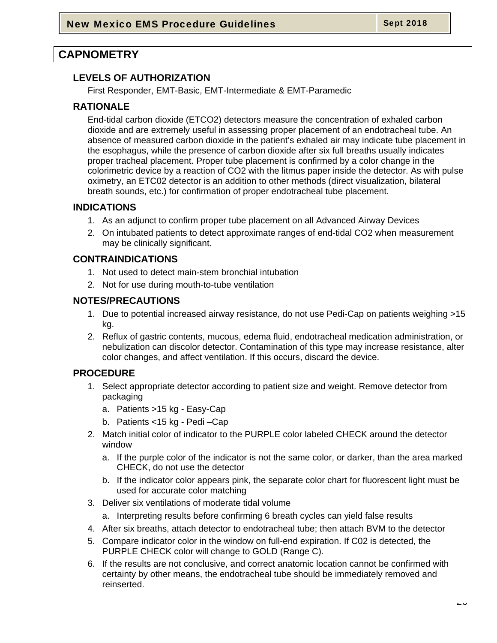# **CAPNOMETRY**

## **LEVELS OF AUTHORIZATION**

First Responder, EMT-Basic, EMT-Intermediate & EMT-Paramedic

## **RATIONALE**

End-tidal carbon dioxide (ETCO2) detectors measure the concentration of exhaled carbon dioxide and are extremely useful in assessing proper placement of an endotracheal tube. An absence of measured carbon dioxide in the patient's exhaled air may indicate tube placement in the esophagus, while the presence of carbon dioxide after six full breaths usually indicates proper tracheal placement. Proper tube placement is confirmed by a color change in the colorimetric device by a reaction of CO2 with the litmus paper inside the detector. As with pulse oximetry, an ETC02 detector is an addition to other methods (direct visualization, bilateral breath sounds, etc.) for confirmation of proper endotracheal tube placement.

## **INDICATIONS**

- 1. As an adjunct to confirm proper tube placement on all Advanced Airway Devices
- 2. On intubated patients to detect approximate ranges of end-tidal CO2 when measurement may be clinically significant.

## **CONTRAINDICATIONS**

- 1. Not used to detect main-stem bronchial intubation
- 2. Not for use during mouth-to-tube ventilation

## **NOTES/PRECAUTIONS**

- 1. Due to potential increased airway resistance, do not use Pedi-Cap on patients weighing >15 kg.
- 2. Reflux of gastric contents, mucous, edema fluid, endotracheal medication administration, or nebulization can discolor detector. Contamination of this type may increase resistance, alter color changes, and affect ventilation. If this occurs, discard the device.

- 1. Select appropriate detector according to patient size and weight. Remove detector from packaging
	- a. Patients >15 kg Easy-Cap
	- b. Patients <15 kg Pedi –Cap
- 2. Match initial color of indicator to the PURPLE color labeled CHECK around the detector window
	- a. If the purple color of the indicator is not the same color, or darker, than the area marked CHECK, do not use the detector
	- b. If the indicator color appears pink, the separate color chart for fluorescent light must be used for accurate color matching
- 3. Deliver six ventilations of moderate tidal volume
	- a. Interpreting results before confirming 6 breath cycles can yield false results
- 4. After six breaths, attach detector to endotracheal tube; then attach BVM to the detector
- 5. Compare indicator color in the window on full-end expiration. If C02 is detected, the PURPLE CHECK color will change to GOLD (Range C).
- 6. If the results are not conclusive, and correct anatomic location cannot be confirmed with certainty by other means, the endotracheal tube should be immediately removed and reinserted.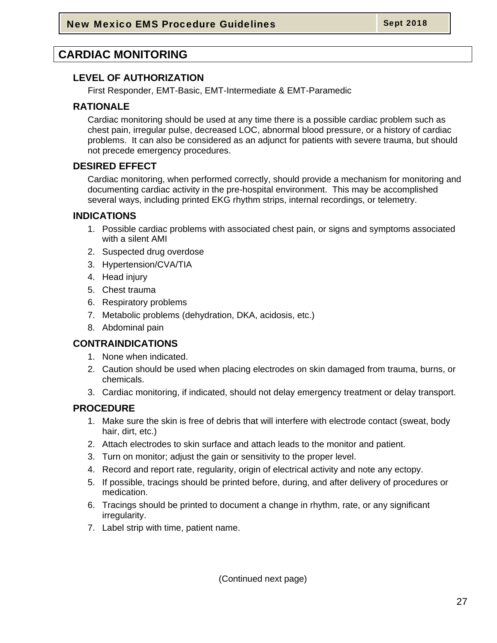# **CARDIAC MONITORING**

## **LEVEL OF AUTHORIZATION**

First Responder, EMT-Basic, EMT-Intermediate & EMT-Paramedic

## **RATIONALE**

Cardiac monitoring should be used at any time there is a possible cardiac problem such as chest pain, irregular pulse, decreased LOC, abnormal blood pressure, or a history of cardiac problems. It can also be considered as an adjunct for patients with severe trauma, but should not precede emergency procedures.

## **DESIRED EFFECT**

Cardiac monitoring, when performed correctly, should provide a mechanism for monitoring and documenting cardiac activity in the pre-hospital environment. This may be accomplished several ways, including printed EKG rhythm strips, internal recordings, or telemetry.

## **INDICATIONS**

- 1. Possible cardiac problems with associated chest pain, or signs and symptoms associated with a silent AMI
- 2. Suspected drug overdose
- 3. Hypertension/CVA/TIA
- 4. Head injury
- 5. Chest trauma
- 6. Respiratory problems
- 7. Metabolic problems (dehydration, DKA, acidosis, etc.)
- 8. Abdominal pain

## **CONTRAINDICATIONS**

- 1. None when indicated.
- 2. Caution should be used when placing electrodes on skin damaged from trauma, burns, or chemicals.
- 3. Cardiac monitoring, if indicated, should not delay emergency treatment or delay transport.

- 1. Make sure the skin is free of debris that will interfere with electrode contact (sweat, body hair, dirt, etc.)
- 2. Attach electrodes to skin surface and attach leads to the monitor and patient.
- 3. Turn on monitor; adjust the gain or sensitivity to the proper level.
- 4. Record and report rate, regularity, origin of electrical activity and note any ectopy.
- 5. If possible, tracings should be printed before, during, and after delivery of procedures or medication.
- 6. Tracings should be printed to document a change in rhythm, rate, or any significant irregularity.
- 7. Label strip with time, patient name.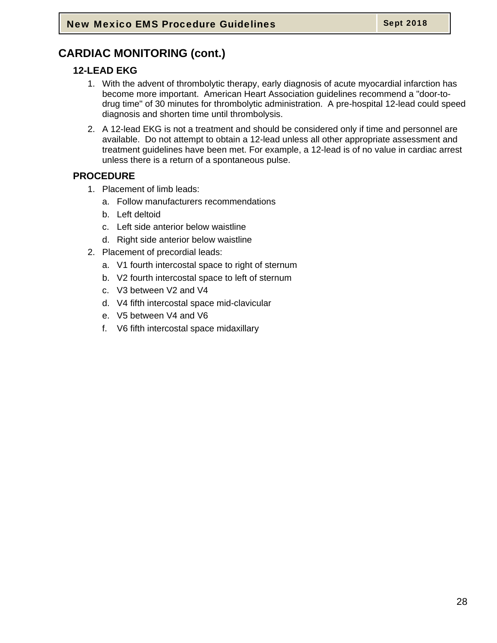# **CARDIAC MONITORING (cont.)**

## **12-LEAD EKG**

- 1. With the advent of thrombolytic therapy, early diagnosis of acute myocardial infarction has become more important. American Heart Association guidelines recommend a "door-todrug time" of 30 minutes for thrombolytic administration. A pre-hospital 12-lead could speed diagnosis and shorten time until thrombolysis.
- 2. A 12-lead EKG is not a treatment and should be considered only if time and personnel are available. Do not attempt to obtain a 12-lead unless all other appropriate assessment and treatment guidelines have been met. For example, a 12-lead is of no value in cardiac arrest unless there is a return of a spontaneous pulse.

- 1. Placement of limb leads:
	- a. Follow manufacturers recommendations
	- b. Left deltoid
	- c. Left side anterior below waistline
	- d. Right side anterior below waistline
- 2. Placement of precordial leads:
	- a. V1 fourth intercostal space to right of sternum
	- b. V2 fourth intercostal space to left of sternum
	- c. V3 between V2 and V4
	- d. V4 fifth intercostal space mid-clavicular
	- e. V5 between V4 and V6
	- f. V6 fifth intercostal space midaxillary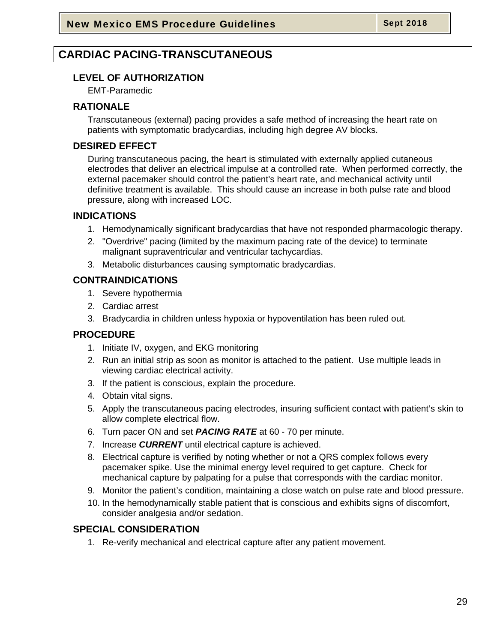# **CARDIAC PACING-TRANSCUTANEOUS**

## **LEVEL OF AUTHORIZATION**

EMT-Paramedic

## **RATIONALE**

Transcutaneous (external) pacing provides a safe method of increasing the heart rate on patients with symptomatic bradycardias, including high degree AV blocks.

## **DESIRED EFFECT**

During transcutaneous pacing, the heart is stimulated with externally applied cutaneous electrodes that deliver an electrical impulse at a controlled rate. When performed correctly, the external pacemaker should control the patient's heart rate, and mechanical activity until definitive treatment is available. This should cause an increase in both pulse rate and blood pressure, along with increased LOC.

## **INDICATIONS**

- 1. Hemodynamically significant bradycardias that have not responded pharmacologic therapy.
- 2. "Overdrive" pacing (limited by the maximum pacing rate of the device) to terminate malignant supraventricular and ventricular tachycardias.
- 3. Metabolic disturbances causing symptomatic bradycardias.

## **CONTRAINDICATIONS**

- 1. Severe hypothermia
- 2. Cardiac arrest
- 3. Bradycardia in children unless hypoxia or hypoventilation has been ruled out.

## **PROCEDURE**

- 1. Initiate IV, oxygen, and EKG monitoring
- 2. Run an initial strip as soon as monitor is attached to the patient. Use multiple leads in viewing cardiac electrical activity.
- 3. If the patient is conscious, explain the procedure.
- 4. Obtain vital signs.
- 5. Apply the transcutaneous pacing electrodes, insuring sufficient contact with patient's skin to allow complete electrical flow.
- 6. Turn pacer ON and set *PACING RATE* at 60 70 per minute.
- 7. Increase *CURRENT* until electrical capture is achieved.
- 8. Electrical capture is verified by noting whether or not a QRS complex follows every pacemaker spike. Use the minimal energy level required to get capture. Check for mechanical capture by palpating for a pulse that corresponds with the cardiac monitor.
- 9. Monitor the patient's condition, maintaining a close watch on pulse rate and blood pressure.
- 10. In the hemodynamically stable patient that is conscious and exhibits signs of discomfort, consider analgesia and/or sedation.

## **SPECIAL CONSIDERATION**

1. Re-verify mechanical and electrical capture after any patient movement.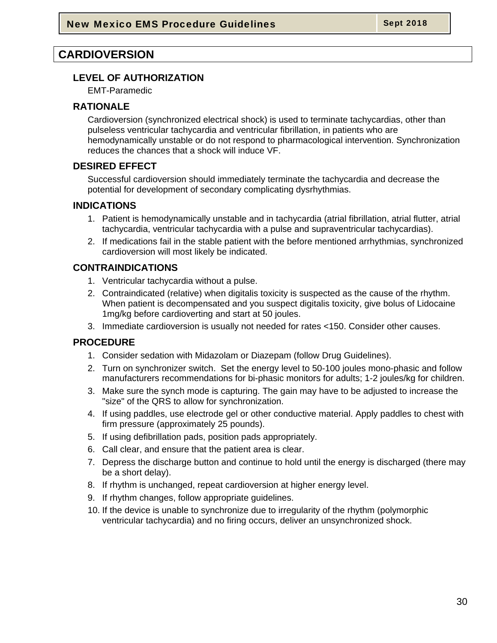## **CARDIOVERSION**

#### **LEVEL OF AUTHORIZATION**

EMT-Paramedic

#### **RATIONALE**

Cardioversion (synchronized electrical shock) is used to terminate tachycardias, other than pulseless ventricular tachycardia and ventricular fibrillation, in patients who are hemodynamically unstable or do not respond to pharmacological intervention. Synchronization reduces the chances that a shock will induce VF.

#### **DESIRED EFFECT**

Successful cardioversion should immediately terminate the tachycardia and decrease the potential for development of secondary complicating dysrhythmias.

#### **INDICATIONS**

- 1. Patient is hemodynamically unstable and in tachycardia (atrial fibrillation, atrial flutter, atrial tachycardia, ventricular tachycardia with a pulse and supraventricular tachycardias).
- 2. If medications fail in the stable patient with the before mentioned arrhythmias, synchronized cardioversion will most likely be indicated.

## **CONTRAINDICATIONS**

- 1. Ventricular tachycardia without a pulse.
- 2. Contraindicated (relative) when digitalis toxicity is suspected as the cause of the rhythm. When patient is decompensated and you suspect digitalis toxicity, give bolus of Lidocaine 1mg/kg before cardioverting and start at 50 joules.
- 3. Immediate cardioversion is usually not needed for rates <150. Consider other causes.

- 1. Consider sedation with Midazolam or Diazepam (follow Drug Guidelines).
- 2. Turn on synchronizer switch. Set the energy level to 50-100 joules mono-phasic and follow manufacturers recommendations for bi-phasic monitors for adults; 1-2 joules/kg for children.
- 3. Make sure the synch mode is capturing. The gain may have to be adjusted to increase the "size" of the QRS to allow for synchronization.
- 4. If using paddles, use electrode gel or other conductive material. Apply paddles to chest with firm pressure (approximately 25 pounds).
- 5. If using defibrillation pads, position pads appropriately.
- 6. Call clear, and ensure that the patient area is clear.
- 7. Depress the discharge button and continue to hold until the energy is discharged (there may be a short delay).
- 8. If rhythm is unchanged, repeat cardioversion at higher energy level.
- 9. If rhythm changes, follow appropriate guidelines.
- 10. If the device is unable to synchronize due to irregularity of the rhythm (polymorphic ventricular tachycardia) and no firing occurs, deliver an unsynchronized shock.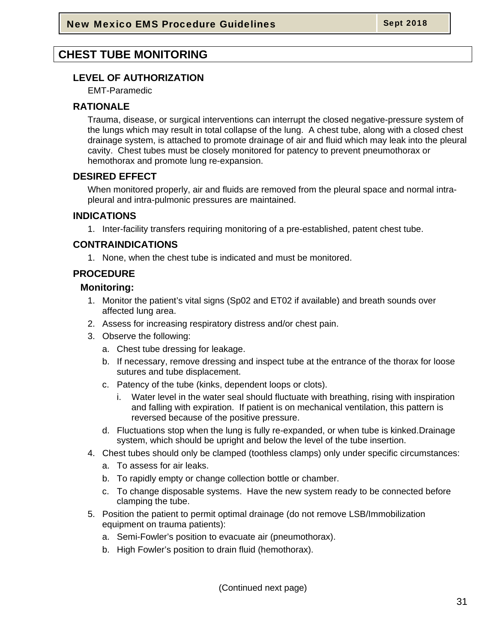# **CHEST TUBE MONITORING**

## **LEVEL OF AUTHORIZATION**

EMT-Paramedic

## **RATIONALE**

Trauma, disease, or surgical interventions can interrupt the closed negative-pressure system of the lungs which may result in total collapse of the lung. A chest tube, along with a closed chest drainage system, is attached to promote drainage of air and fluid which may leak into the pleural cavity. Chest tubes must be closely monitored for patency to prevent pneumothorax or hemothorax and promote lung re-expansion.

#### **DESIRED EFFECT**

When monitored properly, air and fluids are removed from the pleural space and normal intrapleural and intra-pulmonic pressures are maintained.

#### **INDICATIONS**

1. Inter-facility transfers requiring monitoring of a pre-established, patent chest tube.

#### **CONTRAINDICATIONS**

1. None, when the chest tube is indicated and must be monitored.

## **PROCEDURE**

#### **Monitoring:**

- 1. Monitor the patient's vital signs (Sp02 and ET02 if available) and breath sounds over affected lung area.
- 2. Assess for increasing respiratory distress and/or chest pain.
- 3. Observe the following:
	- a. Chest tube dressing for leakage.
	- b. If necessary, remove dressing and inspect tube at the entrance of the thorax for loose sutures and tube displacement.
	- c. Patency of the tube (kinks, dependent loops or clots).
		- i. Water level in the water seal should fluctuate with breathing, rising with inspiration and falling with expiration. If patient is on mechanical ventilation, this pattern is reversed because of the positive pressure.
	- d. Fluctuations stop when the lung is fully re-expanded, or when tube is kinked. Drainage system, which should be upright and below the level of the tube insertion.
- 4. Chest tubes should only be clamped (toothless clamps) only under specific circumstances:
	- a. To assess for air leaks.
	- b. To rapidly empty or change collection bottle or chamber.
	- c. To change disposable systems. Have the new system ready to be connected before clamping the tube.
- 5. Position the patient to permit optimal drainage (do not remove LSB/Immobilization equipment on trauma patients):
	- a. Semi-Fowler's position to evacuate air (pneumothorax).
	- b. High Fowler's position to drain fluid (hemothorax).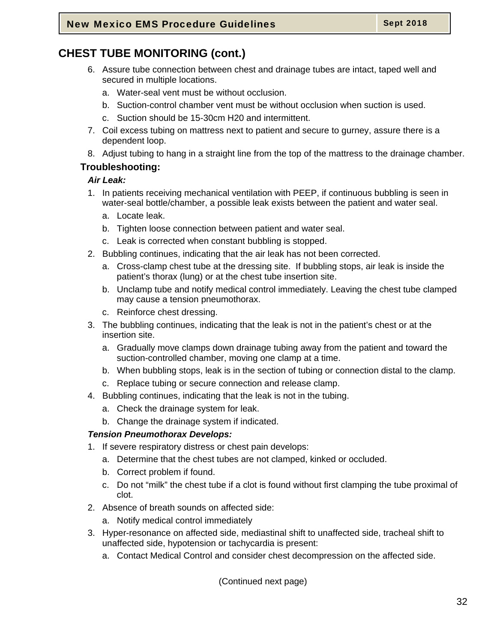# **CHEST TUBE MONITORING (cont.)**

- 6. Assure tube connection between chest and drainage tubes are intact, taped well and secured in multiple locations.
	- a. Water-seal vent must be without occlusion.
	- b. Suction-control chamber vent must be without occlusion when suction is used.
	- c. Suction should be 15-30cm H20 and intermittent.
- 7. Coil excess tubing on mattress next to patient and secure to gurney, assure there is a dependent loop.
- 8. Adjust tubing to hang in a straight line from the top of the mattress to the drainage chamber.

## **Troubleshooting:**

#### *Air Leak:*

- 1. In patients receiving mechanical ventilation with PEEP, if continuous bubbling is seen in water-seal bottle/chamber, a possible leak exists between the patient and water seal.
	- a. Locate leak.
	- b. Tighten loose connection between patient and water seal.
	- c. Leak is corrected when constant bubbling is stopped.
- 2. Bubbling continues, indicating that the air leak has not been corrected.
	- a. Cross-clamp chest tube at the dressing site. If bubbling stops, air leak is inside the patient's thorax (lung) or at the chest tube insertion site.
	- b. Unclamp tube and notify medical control immediately. Leaving the chest tube clamped may cause a tension pneumothorax.
	- c. Reinforce chest dressing.
- 3. The bubbling continues, indicating that the leak is not in the patient's chest or at the insertion site.
	- a. Gradually move clamps down drainage tubing away from the patient and toward the suction-controlled chamber, moving one clamp at a time.
	- b. When bubbling stops, leak is in the section of tubing or connection distal to the clamp.
	- c. Replace tubing or secure connection and release clamp.
- 4. Bubbling continues, indicating that the leak is not in the tubing.
	- a. Check the drainage system for leak.
	- b. Change the drainage system if indicated.

## *Tension Pneumothorax Develops:*

- 1. If severe respiratory distress or chest pain develops:
	- a. Determine that the chest tubes are not clamped, kinked or occluded.
	- b. Correct problem if found.
	- c. Do not "milk" the chest tube if a clot is found without first clamping the tube proximal of clot.
- 2. Absence of breath sounds on affected side:
	- a. Notify medical control immediately
- 3. Hyper-resonance on affected side, mediastinal shift to unaffected side, tracheal shift to unaffected side, hypotension or tachycardia is present:
	- a. Contact Medical Control and consider chest decompression on the affected side.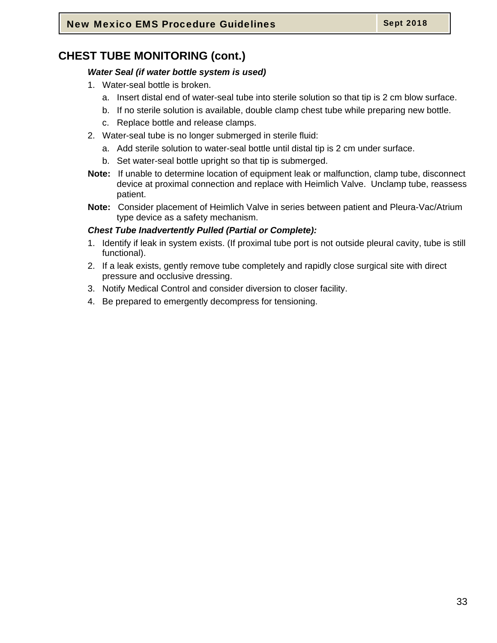# **CHEST TUBE MONITORING (cont.)**

#### *Water Seal (if water bottle system is used)*

- 1. Water-seal bottle is broken.
	- a. Insert distal end of water-seal tube into sterile solution so that tip is 2 cm blow surface.
	- b. If no sterile solution is available, double clamp chest tube while preparing new bottle.
	- c. Replace bottle and release clamps.
- 2. Water-seal tube is no longer submerged in sterile fluid:
	- a. Add sterile solution to water-seal bottle until distal tip is 2 cm under surface.
	- b. Set water-seal bottle upright so that tip is submerged.
- **Note:** If unable to determine location of equipment leak or malfunction, clamp tube, disconnect device at proximal connection and replace with Heimlich Valve. Unclamp tube, reassess patient.
- **Note:** Consider placement of Heimlich Valve in series between patient and Pleura-Vac/Atrium type device as a safety mechanism.

#### *Chest Tube Inadvertently Pulled (Partial or Complete):*

- 1. Identify if leak in system exists. (If proximal tube port is not outside pleural cavity, tube is still functional).
- 2. If a leak exists, gently remove tube completely and rapidly close surgical site with direct pressure and occlusive dressing.
- 3. Notify Medical Control and consider diversion to closer facility.
- 4. Be prepared to emergently decompress for tensioning.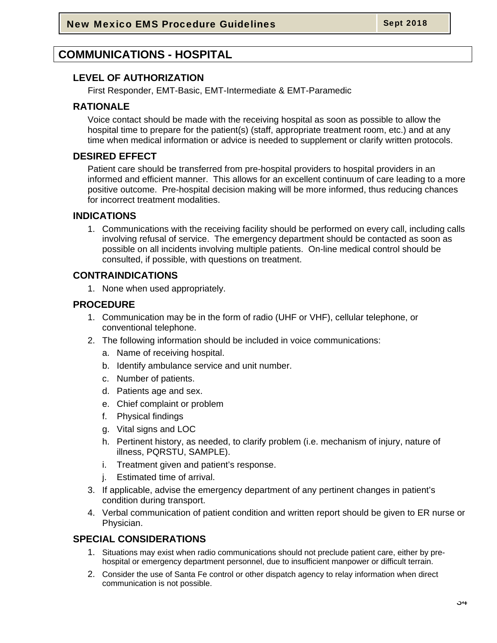# **COMMUNICATIONS - HOSPITAL**

### **LEVEL OF AUTHORIZATION**

First Responder, EMT-Basic, EMT-Intermediate & EMT-Paramedic

#### **RATIONALE**

Voice contact should be made with the receiving hospital as soon as possible to allow the hospital time to prepare for the patient(s) (staff, appropriate treatment room, etc.) and at any time when medical information or advice is needed to supplement or clarify written protocols.

#### **DESIRED EFFECT**

Patient care should be transferred from pre-hospital providers to hospital providers in an informed and efficient manner. This allows for an excellent continuum of care leading to a more positive outcome. Pre-hospital decision making will be more informed, thus reducing chances for incorrect treatment modalities.

#### **INDICATIONS**

1. Communications with the receiving facility should be performed on every call, including calls involving refusal of service. The emergency department should be contacted as soon as possible on all incidents involving multiple patients. On-line medical control should be consulted, if possible, with questions on treatment.

#### **CONTRAINDICATIONS**

1. None when used appropriately.

#### **PROCEDURE**

- 1. Communication may be in the form of radio (UHF or VHF), cellular telephone, or conventional telephone.
- 2. The following information should be included in voice communications:
	- a. Name of receiving hospital.
	- b. Identify ambulance service and unit number.
	- c. Number of patients.
	- d. Patients age and sex.
	- e. Chief complaint or problem
	- f. Physical findings
	- g. Vital signs and LOC
	- h. Pertinent history, as needed, to clarify problem (i.e. mechanism of injury, nature of illness, PQRSTU, SAMPLE).
	- i. Treatment given and patient's response.
	- j. Estimated time of arrival.
- 3. If applicable, advise the emergency department of any pertinent changes in patient's condition during transport.
- 4. Verbal communication of patient condition and written report should be given to ER nurse or Physician.

### **SPECIAL CONSIDERATIONS**

- 1. Situations may exist when radio communications should not preclude patient care, either by prehospital or emergency department personnel, due to insufficient manpower or difficult terrain.
- 2. Consider the use of Santa Fe control or other dispatch agency to relay information when direct communication is not possible.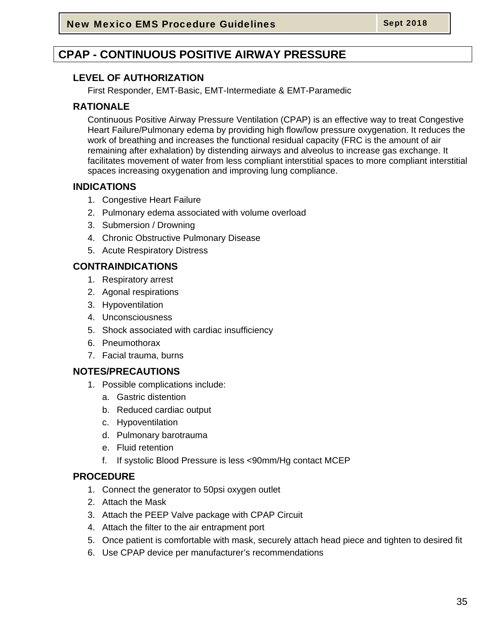# **CPAP - CONTINUOUS POSITIVE AIRWAY PRESSURE**

# **LEVEL OF AUTHORIZATION**

First Responder, EMT-Basic, EMT-Intermediate & EMT-Paramedic

# **RATIONALE**

Continuous Positive Airway Pressure Ventilation (CPAP) is an effective way to treat Congestive Heart Failure/Pulmonary edema by providing high flow/low pressure oxygenation. It reduces the work of breathing and increases the functional residual capacity (FRC is the amount of air remaining after exhalation) by distending airways and alveolus to increase gas exchange. It facilitates movement of water from less compliant interstitial spaces to more compliant interstitial spaces increasing oxygenation and improving lung compliance.

# **INDICATIONS**

- 1. Congestive Heart Failure
- 2. Pulmonary edema associated with volume overload
- 3. Submersion / Drowning
- 4. Chronic Obstructive Pulmonary Disease
- 5. Acute Respiratory Distress

# **CONTRAINDICATIONS**

- 1. Respiratory arrest
- 2. Agonal respirations
- 3. Hypoventilation
- 4. Unconsciousness
- 5. Shock associated with cardiac insufficiency
- 6. Pneumothorax
- 7. Facial trauma, burns

### **NOTES/PRECAUTIONS**

- 1. Possible complications include:
	- a. Gastric distention
	- b. Reduced cardiac output
	- c. Hypoventilation
	- d. Pulmonary barotrauma
	- e. Fluid retention
	- f. If systolic Blood Pressure is less <90mm/Hg contact MCEP

- 1. Connect the generator to 50psi oxygen outlet
- 2. Attach the Mask
- 3. Attach the PEEP Valve package with CPAP Circuit
- 4. Attach the filter to the air entrapment port
- 5. Once patient is comfortable with mask, securely attach head piece and tighten to desired fit
- 6. Use CPAP device per manufacturer's recommendations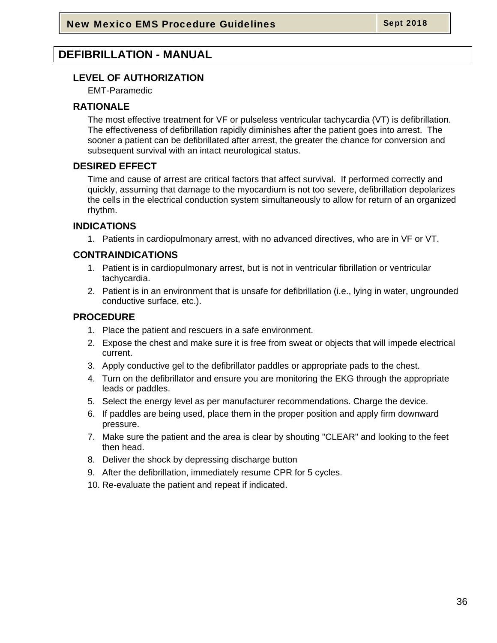# **DEFIBRILLATION - MANUAL**

#### **LEVEL OF AUTHORIZATION**

EMT-Paramedic

#### **RATIONALE**

The most effective treatment for VF or pulseless ventricular tachycardia (VT) is defibrillation. The effectiveness of defibrillation rapidly diminishes after the patient goes into arrest. The sooner a patient can be defibrillated after arrest, the greater the chance for conversion and subsequent survival with an intact neurological status.

#### **DESIRED EFFECT**

Time and cause of arrest are critical factors that affect survival. If performed correctly and quickly, assuming that damage to the myocardium is not too severe, defibrillation depolarizes the cells in the electrical conduction system simultaneously to allow for return of an organized rhythm.

#### **INDICATIONS**

1. Patients in cardiopulmonary arrest, with no advanced directives, who are in VF or VT.

#### **CONTRAINDICATIONS**

- 1. Patient is in cardiopulmonary arrest, but is not in ventricular fibrillation or ventricular tachycardia.
- 2. Patient is in an environment that is unsafe for defibrillation (i.e., lying in water, ungrounded conductive surface, etc.).

- 1. Place the patient and rescuers in a safe environment.
- 2. Expose the chest and make sure it is free from sweat or objects that will impede electrical current.
- 3. Apply conductive gel to the defibrillator paddles or appropriate pads to the chest.
- 4. Turn on the defibrillator and ensure you are monitoring the EKG through the appropriate leads or paddles.
- 5. Select the energy level as per manufacturer recommendations. Charge the device.
- 6. If paddles are being used, place them in the proper position and apply firm downward pressure.
- 7. Make sure the patient and the area is clear by shouting "CLEAR" and looking to the feet then head.
- 8. Deliver the shock by depressing discharge button
- 9. After the defibrillation, immediately resume CPR for 5 cycles.
- 10. Re-evaluate the patient and repeat if indicated.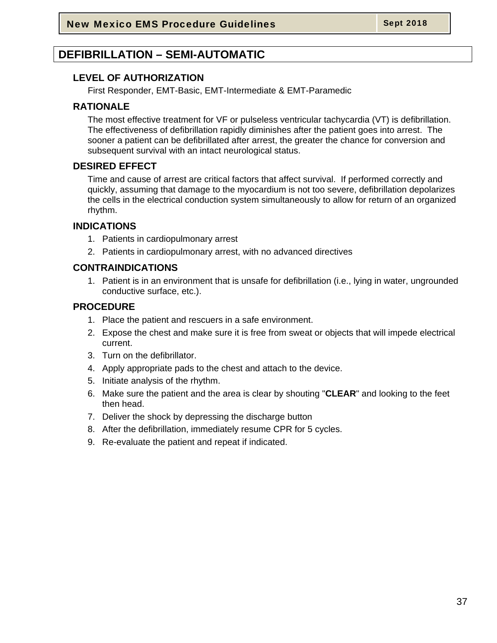# **DEFIBRILLATION – SEMI-AUTOMATIC**

#### **LEVEL OF AUTHORIZATION**

First Responder, EMT-Basic, EMT-Intermediate & EMT-Paramedic

#### **RATIONALE**

The most effective treatment for VF or pulseless ventricular tachycardia (VT) is defibrillation. The effectiveness of defibrillation rapidly diminishes after the patient goes into arrest. The sooner a patient can be defibrillated after arrest, the greater the chance for conversion and subsequent survival with an intact neurological status.

#### **DESIRED EFFECT**

Time and cause of arrest are critical factors that affect survival. If performed correctly and quickly, assuming that damage to the myocardium is not too severe, defibrillation depolarizes the cells in the electrical conduction system simultaneously to allow for return of an organized rhythm.

#### **INDICATIONS**

- 1. Patients in cardiopulmonary arrest
- 2. Patients in cardiopulmonary arrest, with no advanced directives

#### **CONTRAINDICATIONS**

1. Patient is in an environment that is unsafe for defibrillation (i.e., lying in water, ungrounded conductive surface, etc.).

- 1. Place the patient and rescuers in a safe environment.
- 2. Expose the chest and make sure it is free from sweat or objects that will impede electrical current.
- 3. Turn on the defibrillator.
- 4. Apply appropriate pads to the chest and attach to the device.
- 5. Initiate analysis of the rhythm.
- 6. Make sure the patient and the area is clear by shouting "**CLEAR**" and looking to the feet then head.
- 7. Deliver the shock by depressing the discharge button
- 8. After the defibrillation, immediately resume CPR for 5 cycles.
- 9. Re-evaluate the patient and repeat if indicated.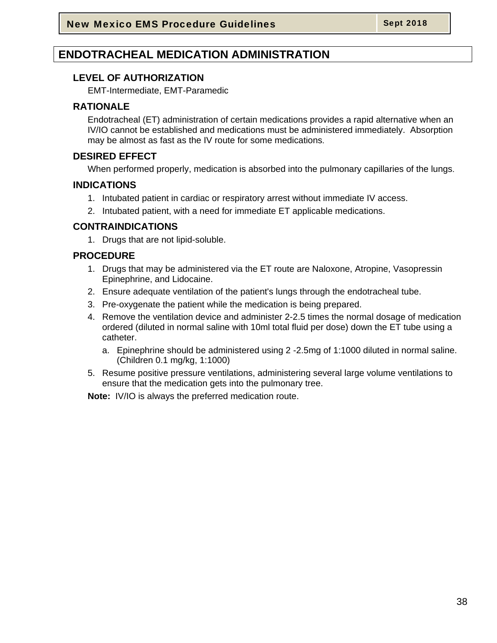# **ENDOTRACHEAL MEDICATION ADMINISTRATION**

#### **LEVEL OF AUTHORIZATION**

EMT-Intermediate, EMT-Paramedic

#### **RATIONALE**

Endotracheal (ET) administration of certain medications provides a rapid alternative when an IV/IO cannot be established and medications must be administered immediately. Absorption may be almost as fast as the IV route for some medications.

#### **DESIRED EFFECT**

When performed properly, medication is absorbed into the pulmonary capillaries of the lungs.

#### **INDICATIONS**

- 1. Intubated patient in cardiac or respiratory arrest without immediate IV access.
- 2. Intubated patient, with a need for immediate ET applicable medications.

#### **CONTRAINDICATIONS**

1. Drugs that are not lipid-soluble.

#### **PROCEDURE**

- 1. Drugs that may be administered via the ET route are Naloxone, Atropine, Vasopressin Epinephrine, and Lidocaine.
- 2. Ensure adequate ventilation of the patient's lungs through the endotracheal tube.
- 3. Pre-oxygenate the patient while the medication is being prepared.
- 4. Remove the ventilation device and administer 2-2.5 times the normal dosage of medication ordered (diluted in normal saline with 10ml total fluid per dose) down the ET tube using a catheter.
	- a. Epinephrine should be administered using 2 -2.5mg of 1:1000 diluted in normal saline. (Children 0.1 mg/kg, 1:1000)
- 5. Resume positive pressure ventilations, administering several large volume ventilations to ensure that the medication gets into the pulmonary tree.

**Note:** IV/IO is always the preferred medication route.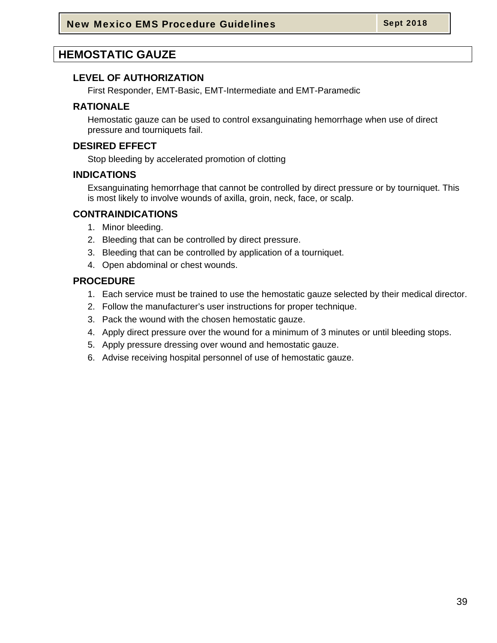# **HEMOSTATIC GAUZE**

### **LEVEL OF AUTHORIZATION**

First Responder, EMT-Basic, EMT-Intermediate and EMT-Paramedic

# **RATIONALE**

Hemostatic gauze can be used to control exsanguinating hemorrhage when use of direct pressure and tourniquets fail.

### **DESIRED EFFECT**

Stop bleeding by accelerated promotion of clotting

### **INDICATIONS**

Exsanguinating hemorrhage that cannot be controlled by direct pressure or by tourniquet. This is most likely to involve wounds of axilla, groin, neck, face, or scalp.

# **CONTRAINDICATIONS**

- 1. Minor bleeding.
- 2. Bleeding that can be controlled by direct pressure.
- 3. Bleeding that can be controlled by application of a tourniquet.
- 4. Open abdominal or chest wounds.

- 1. Each service must be trained to use the hemostatic gauze selected by their medical director.
- 2. Follow the manufacturer's user instructions for proper technique.
- 3. Pack the wound with the chosen hemostatic gauze.
- 4. Apply direct pressure over the wound for a minimum of 3 minutes or until bleeding stops.
- 5. Apply pressure dressing over wound and hemostatic gauze.
- 6. Advise receiving hospital personnel of use of hemostatic gauze.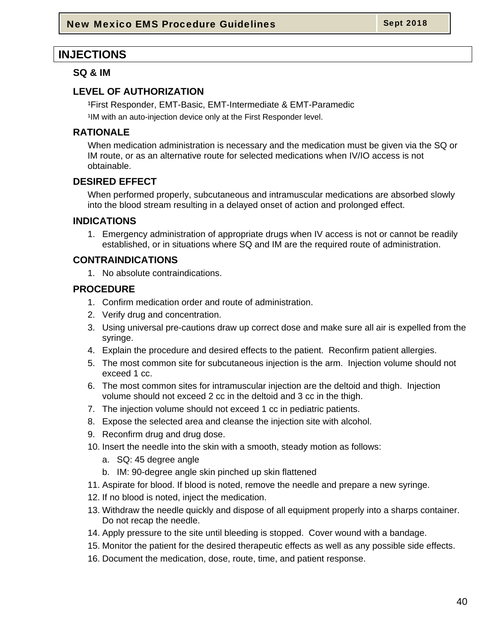# **INJECTIONS**

#### **SQ & IM**

### **LEVEL OF AUTHORIZATION**

<sup>1</sup>First Responder, EMT-Basic, EMT-Intermediate & EMT-Paramedic <sup>1</sup>IM with an auto-injection device only at the First Responder level.

#### **RATIONALE**

When medication administration is necessary and the medication must be given via the SQ or IM route, or as an alternative route for selected medications when IV/IO access is not obtainable.

#### **DESIRED EFFECT**

When performed properly, subcutaneous and intramuscular medications are absorbed slowly into the blood stream resulting in a delayed onset of action and prolonged effect.

#### **INDICATIONS**

1. Emergency administration of appropriate drugs when IV access is not or cannot be readily established, or in situations where SQ and IM are the required route of administration.

#### **CONTRAINDICATIONS**

1. No absolute contraindications.

- 1. Confirm medication order and route of administration.
- 2. Verify drug and concentration.
- 3. Using universal pre-cautions draw up correct dose and make sure all air is expelled from the syringe.
- 4. Explain the procedure and desired effects to the patient. Reconfirm patient allergies.
- 5. The most common site for subcutaneous injection is the arm. Injection volume should not exceed 1 cc.
- 6. The most common sites for intramuscular injection are the deltoid and thigh. Injection volume should not exceed 2 cc in the deltoid and 3 cc in the thigh.
- 7. The injection volume should not exceed 1 cc in pediatric patients.
- 8. Expose the selected area and cleanse the injection site with alcohol.
- 9. Reconfirm drug and drug dose.
- 10. Insert the needle into the skin with a smooth, steady motion as follows:
	- a. SQ: 45 degree angle
	- b. IM: 90-degree angle skin pinched up skin flattened
- 11. Aspirate for blood. If blood is noted, remove the needle and prepare a new syringe.
- 12. If no blood is noted, inject the medication.
- 13. Withdraw the needle quickly and dispose of all equipment properly into a sharps container. Do not recap the needle.
- 14. Apply pressure to the site until bleeding is stopped. Cover wound with a bandage.
- 15. Monitor the patient for the desired therapeutic effects as well as any possible side effects.
- 16. Document the medication, dose, route, time, and patient response.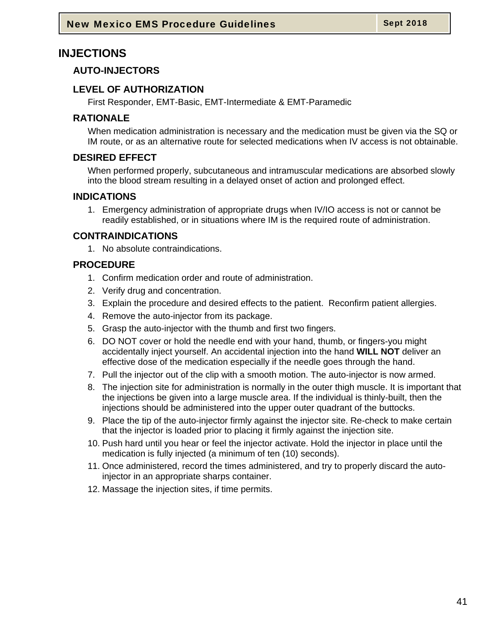# **INJECTIONS**

### **AUTO-INJECTORS**

# **LEVEL OF AUTHORIZATION**

First Responder, EMT-Basic, EMT-Intermediate & EMT-Paramedic

### **RATIONALE**

When medication administration is necessary and the medication must be given via the SQ or IM route, or as an alternative route for selected medications when IV access is not obtainable.

### **DESIRED EFFECT**

When performed properly, subcutaneous and intramuscular medications are absorbed slowly into the blood stream resulting in a delayed onset of action and prolonged effect.

#### **INDICATIONS**

1. Emergency administration of appropriate drugs when IV/IO access is not or cannot be readily established, or in situations where IM is the required route of administration.

### **CONTRAINDICATIONS**

1. No absolute contraindications.

- 1. Confirm medication order and route of administration.
- 2. Verify drug and concentration.
- 3. Explain the procedure and desired effects to the patient. Reconfirm patient allergies.
- 4. Remove the auto-injector from its package.
- 5. Grasp the auto-injector with the thumb and first two fingers.
- 6. DO NOT cover or hold the needle end with your hand, thumb, or fingers-you might accidentally inject yourself. An accidental injection into the hand **WILL NOT** deliver an effective dose of the medication especially if the needle goes through the hand.
- 7. Pull the injector out of the clip with a smooth motion. The auto-injector is now armed.
- 8. The injection site for administration is normally in the outer thigh muscle. It is important that the injections be given into a large muscle area. If the individual is thinly-built, then the injections should be administered into the upper outer quadrant of the buttocks.
- 9. Place the tip of the auto-injector firmly against the injector site. Re-check to make certain that the injector is loaded prior to placing it firmly against the injection site.
- 10. Push hard until you hear or feel the injector activate. Hold the injector in place until the medication is fully injected (a minimum of ten (10) seconds).
- 11. Once administered, record the times administered, and try to properly discard the autoinjector in an appropriate sharps container.
- 12. Massage the injection sites, if time permits.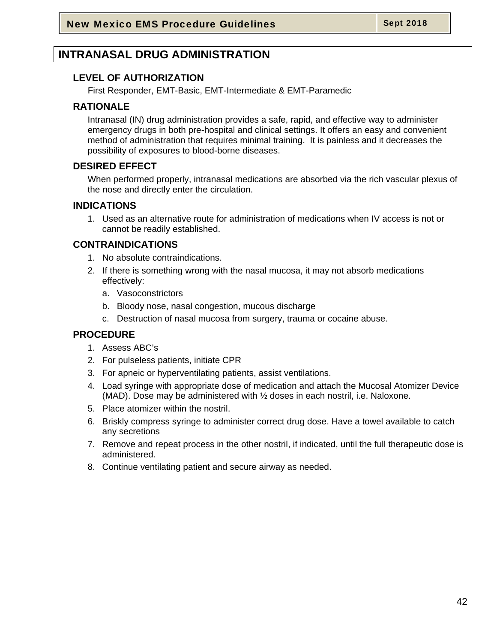# **INTRANASAL DRUG ADMINISTRATION**

### **LEVEL OF AUTHORIZATION**

First Responder, EMT-Basic, EMT-Intermediate & EMT-Paramedic

#### **RATIONALE**

Intranasal (IN) drug administration provides a safe, rapid, and effective way to administer emergency drugs in both pre-hospital and clinical settings. It offers an easy and convenient method of administration that requires minimal training. It is painless and it decreases the possibility of exposures to blood-borne diseases.

### **DESIRED EFFECT**

When performed properly, intranasal medications are absorbed via the rich vascular plexus of the nose and directly enter the circulation.

#### **INDICATIONS**

1. Used as an alternative route for administration of medications when IV access is not or cannot be readily established.

#### **CONTRAINDICATIONS**

- 1. No absolute contraindications.
- 2. If there is something wrong with the nasal mucosa, it may not absorb medications effectively:
	- a. Vasoconstrictors
	- b. Bloody nose, nasal congestion, mucous discharge
	- c. Destruction of nasal mucosa from surgery, trauma or cocaine abuse.

- 1. Assess ABC's
- 2. For pulseless patients, initiate CPR
- 3. For apneic or hyperventilating patients, assist ventilations.
- 4. Load syringe with appropriate dose of medication and attach the Mucosal Atomizer Device (MAD). Dose may be administered with ½ doses in each nostril, i.e. Naloxone.
- 5. Place atomizer within the nostril.
- 6. Briskly compress syringe to administer correct drug dose. Have a towel available to catch any secretions
- 7. Remove and repeat process in the other nostril, if indicated, until the full therapeutic dose is administered.
- 8. Continue ventilating patient and secure airway as needed.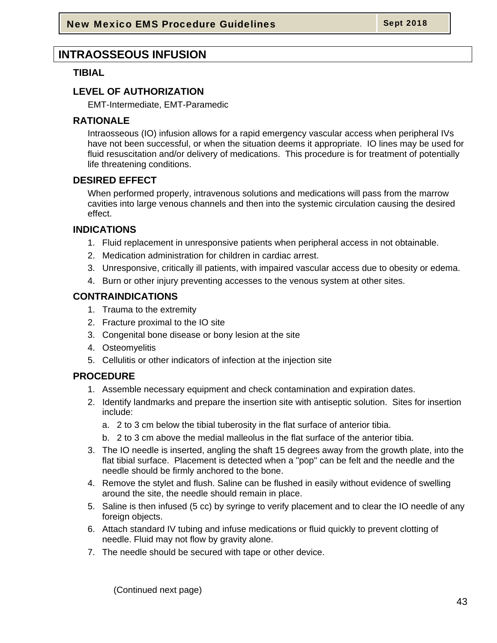# **INTRAOSSEOUS INFUSION**

#### **TIBIAL**

#### **LEVEL OF AUTHORIZATION**

EMT-Intermediate, EMT-Paramedic

#### **RATIONALE**

Intraosseous (IO) infusion allows for a rapid emergency vascular access when peripheral IVs have not been successful, or when the situation deems it appropriate. IO lines may be used for fluid resuscitation and/or delivery of medications. This procedure is for treatment of potentially life threatening conditions.

#### **DESIRED EFFECT**

When performed properly, intravenous solutions and medications will pass from the marrow cavities into large venous channels and then into the systemic circulation causing the desired effect.

#### **INDICATIONS**

- 1. Fluid replacement in unresponsive patients when peripheral access in not obtainable.
- 2. Medication administration for children in cardiac arrest.
- 3. Unresponsive, critically ill patients, with impaired vascular access due to obesity or edema.
- 4. Burn or other injury preventing accesses to the venous system at other sites.

#### **CONTRAINDICATIONS**

- 1. Trauma to the extremity
- 2. Fracture proximal to the IO site
- 3. Congenital bone disease or bony lesion at the site
- 4. Osteomyelitis
- 5. Cellulitis or other indicators of infection at the injection site

- 1. Assemble necessary equipment and check contamination and expiration dates.
- 2. Identify landmarks and prepare the insertion site with antiseptic solution. Sites for insertion include:
	- a. 2 to 3 cm below the tibial tuberosity in the flat surface of anterior tibia.
	- b. 2 to 3 cm above the medial malleolus in the flat surface of the anterior tibia.
- 3. The IO needle is inserted, angling the shaft 15 degrees away from the growth plate, into the flat tibial surface. Placement is detected when a "pop" can be felt and the needle and the needle should be firmly anchored to the bone.
- 4. Remove the stylet and flush. Saline can be flushed in easily without evidence of swelling around the site, the needle should remain in place.
- 5. Saline is then infused (5 cc) by syringe to verify placement and to clear the IO needle of any foreign objects.
- 6. Attach standard IV tubing and infuse medications or fluid quickly to prevent clotting of needle. Fluid may not flow by gravity alone.
- 7. The needle should be secured with tape or other device.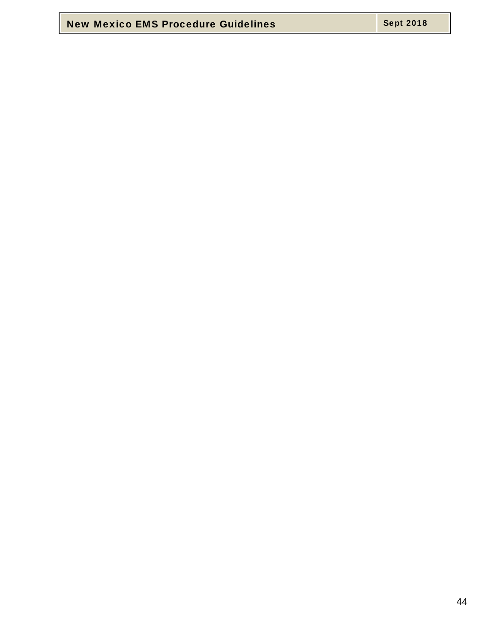# New Mexico EMS Procedure Guidelines Sept 2018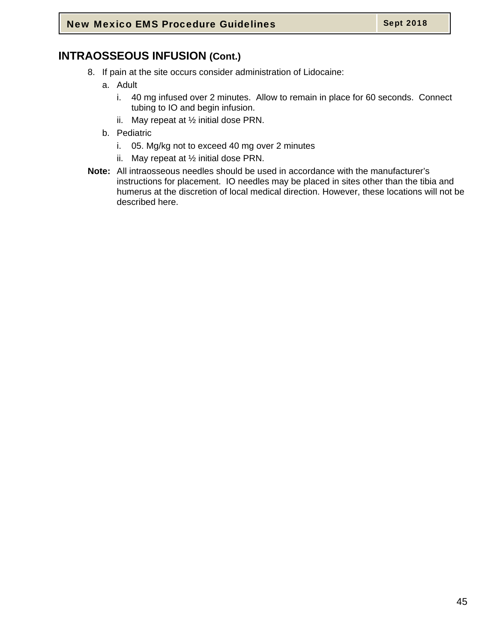# **INTRAOSSEOUS INFUSION (Cont.)**

- 8. If pain at the site occurs consider administration of Lidocaine:
	- a. Adult
		- i. 40 mg infused over 2 minutes. Allow to remain in place for 60 seconds. Connect tubing to IO and begin infusion.
		- ii. May repeat at ½ initial dose PRN.
	- b. Pediatric
		- i. 05. Mg/kg not to exceed 40 mg over 2 minutes
		- ii. May repeat at ½ initial dose PRN.
- **Note:** All intraosseous needles should be used in accordance with the manufacturer's instructions for placement. IO needles may be placed in sites other than the tibia and humerus at the discretion of local medical direction. However, these locations will not be described here.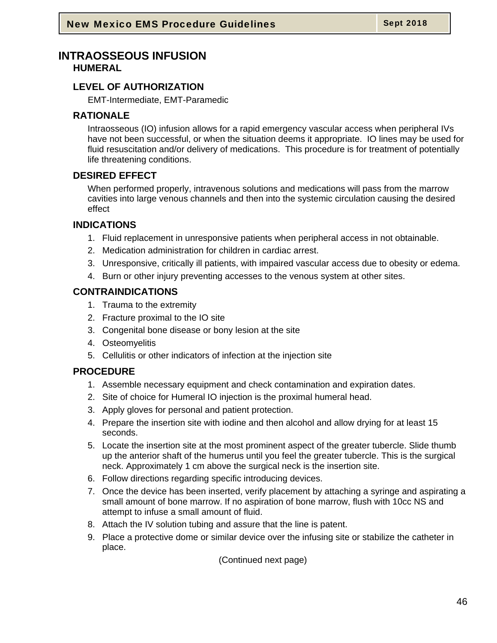## **INTRAOSSEOUS INFUSION HUMERAL**

# **LEVEL OF AUTHORIZATION**

EMT-Intermediate, EMT-Paramedic

### **RATIONALE**

Intraosseous (IO) infusion allows for a rapid emergency vascular access when peripheral IVs have not been successful, or when the situation deems it appropriate. IO lines may be used for fluid resuscitation and/or delivery of medications. This procedure is for treatment of potentially life threatening conditions.

### **DESIRED EFFECT**

When performed properly, intravenous solutions and medications will pass from the marrow cavities into large venous channels and then into the systemic circulation causing the desired effect

# **INDICATIONS**

- 1. Fluid replacement in unresponsive patients when peripheral access in not obtainable.
- 2. Medication administration for children in cardiac arrest.
- 3. Unresponsive, critically ill patients, with impaired vascular access due to obesity or edema.
- 4. Burn or other injury preventing accesses to the venous system at other sites.

### **CONTRAINDICATIONS**

- 1. Trauma to the extremity
- 2. Fracture proximal to the IO site
- 3. Congenital bone disease or bony lesion at the site
- 4. Osteomyelitis
- 5. Cellulitis or other indicators of infection at the injection site

### **PROCEDURE**

- 1. Assemble necessary equipment and check contamination and expiration dates.
- 2. Site of choice for Humeral IO injection is the proximal humeral head.
- 3. Apply gloves for personal and patient protection.
- 4. Prepare the insertion site with iodine and then alcohol and allow drying for at least 15 seconds.
- 5. Locate the insertion site at the most prominent aspect of the greater tubercle. Slide thumb up the anterior shaft of the humerus until you feel the greater tubercle. This is the surgical neck. Approximately 1 cm above the surgical neck is the insertion site.
- 6. Follow directions regarding specific introducing devices.
- 7. Once the device has been inserted, verify placement by attaching a syringe and aspirating a small amount of bone marrow. If no aspiration of bone marrow, flush with 10cc NS and attempt to infuse a small amount of fluid.
- 8. Attach the IV solution tubing and assure that the line is patent.
- 9. Place a protective dome or similar device over the infusing site or stabilize the catheter in place.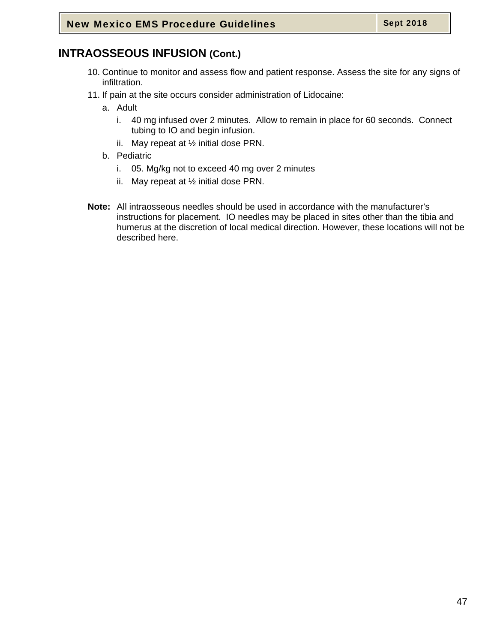# **INTRAOSSEOUS INFUSION (Cont.)**

- 10. Continue to monitor and assess flow and patient response. Assess the site for any signs of infiltration.
- 11. If pain at the site occurs consider administration of Lidocaine:
	- a. Adult
		- i. 40 mg infused over 2 minutes. Allow to remain in place for 60 seconds. Connect tubing to IO and begin infusion.
		- ii. May repeat at ½ initial dose PRN.
	- b. Pediatric
		- i. 05. Mg/kg not to exceed 40 mg over 2 minutes
		- ii. May repeat at ½ initial dose PRN.
- **Note:** All intraosseous needles should be used in accordance with the manufacturer's instructions for placement. IO needles may be placed in sites other than the tibia and humerus at the discretion of local medical direction. However, these locations will not be described here.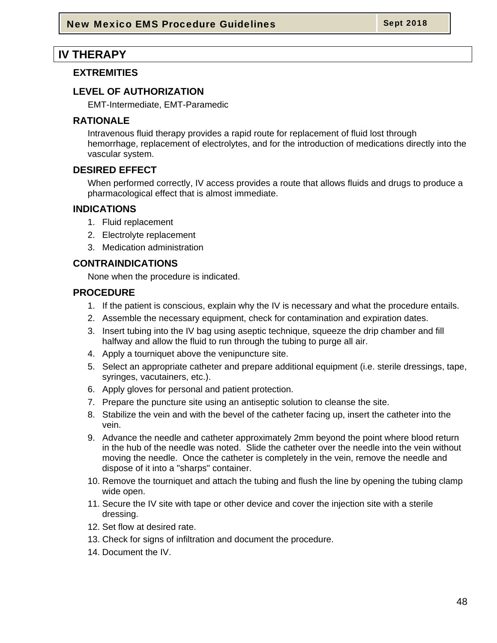# **IV THERAPY**

#### **EXTREMITIES**

#### **LEVEL OF AUTHORIZATION**

EMT-Intermediate, EMT-Paramedic

#### **RATIONALE**

Intravenous fluid therapy provides a rapid route for replacement of fluid lost through hemorrhage, replacement of electrolytes, and for the introduction of medications directly into the vascular system.

#### **DESIRED EFFECT**

When performed correctly, IV access provides a route that allows fluids and drugs to produce a pharmacological effect that is almost immediate.

#### **INDICATIONS**

- 1. Fluid replacement
- 2. Electrolyte replacement
- 3. Medication administration

#### **CONTRAINDICATIONS**

None when the procedure is indicated.

- 1. If the patient is conscious, explain why the IV is necessary and what the procedure entails.
- 2. Assemble the necessary equipment, check for contamination and expiration dates.
- 3. Insert tubing into the IV bag using aseptic technique, squeeze the drip chamber and fill halfway and allow the fluid to run through the tubing to purge all air.
- 4. Apply a tourniquet above the venipuncture site.
- 5. Select an appropriate catheter and prepare additional equipment (i.e. sterile dressings, tape, syringes, vacutainers, etc.).
- 6. Apply gloves for personal and patient protection.
- 7. Prepare the puncture site using an antiseptic solution to cleanse the site.
- 8. Stabilize the vein and with the bevel of the catheter facing up, insert the catheter into the vein.
- 9. Advance the needle and catheter approximately 2mm beyond the point where blood return in the hub of the needle was noted. Slide the catheter over the needle into the vein without moving the needle. Once the catheter is completely in the vein, remove the needle and dispose of it into a "sharps" container.
- 10. Remove the tourniquet and attach the tubing and flush the line by opening the tubing clamp wide open.
- 11. Secure the IV site with tape or other device and cover the injection site with a sterile dressing.
- 12. Set flow at desired rate.
- 13. Check for signs of infiltration and document the procedure.
- 14. Document the IV.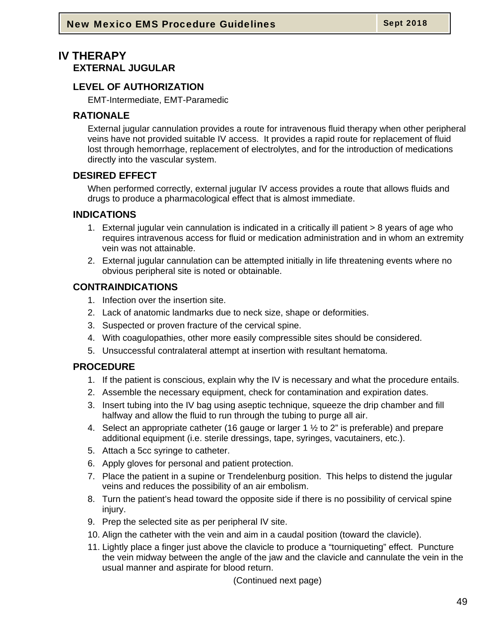# **IV THERAPY EXTERNAL JUGULAR**

# **LEVEL OF AUTHORIZATION**

EMT-Intermediate, EMT-Paramedic

### **RATIONALE**

External jugular cannulation provides a route for intravenous fluid therapy when other peripheral veins have not provided suitable IV access. It provides a rapid route for replacement of fluid lost through hemorrhage, replacement of electrolytes, and for the introduction of medications directly into the vascular system.

# **DESIRED EFFECT**

When performed correctly, external jugular IV access provides a route that allows fluids and drugs to produce a pharmacological effect that is almost immediate.

# **INDICATIONS**

- 1. External jugular vein cannulation is indicated in a critically ill patient > 8 years of age who requires intravenous access for fluid or medication administration and in whom an extremity vein was not attainable.
- 2. External jugular cannulation can be attempted initially in life threatening events where no obvious peripheral site is noted or obtainable.

# **CONTRAINDICATIONS**

- 1. Infection over the insertion site.
- 2. Lack of anatomic landmarks due to neck size, shape or deformities.
- 3. Suspected or proven fracture of the cervical spine.
- 4. With coagulopathies, other more easily compressible sites should be considered.
- 5. Unsuccessful contralateral attempt at insertion with resultant hematoma.

# **PROCEDURE**

- 1. If the patient is conscious, explain why the IV is necessary and what the procedure entails.
- 2. Assemble the necessary equipment, check for contamination and expiration dates.
- 3. Insert tubing into the IV bag using aseptic technique, squeeze the drip chamber and fill halfway and allow the fluid to run through the tubing to purge all air.
- 4. Select an appropriate catheter (16 gauge or larger 1 ½ to 2" is preferable) and prepare additional equipment (i.e. sterile dressings, tape, syringes, vacutainers, etc.).
- 5. Attach a 5cc syringe to catheter.
- 6. Apply gloves for personal and patient protection.
- 7. Place the patient in a supine or Trendelenburg position. This helps to distend the jugular veins and reduces the possibility of an air embolism.
- 8. Turn the patient's head toward the opposite side if there is no possibility of cervical spine injury.
- 9. Prep the selected site as per peripheral IV site.
- 10. Align the catheter with the vein and aim in a caudal position (toward the clavicle).
- 11. Lightly place a finger just above the clavicle to produce a "tourniqueting" effect. Puncture the vein midway between the angle of the jaw and the clavicle and cannulate the vein in the usual manner and aspirate for blood return.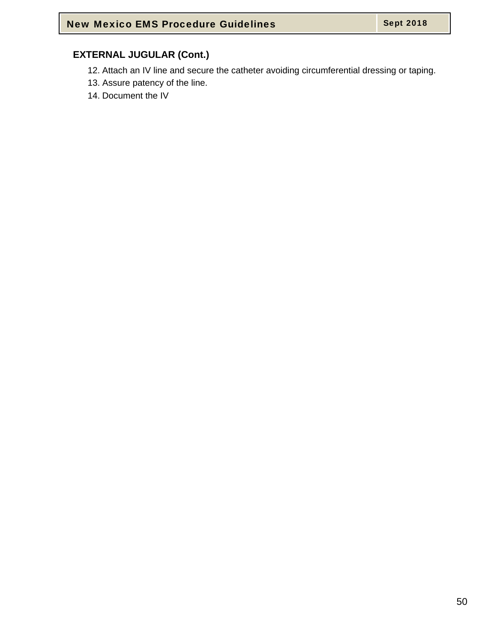# **EXTERNAL JUGULAR (Cont.)**

- 12. Attach an IV line and secure the catheter avoiding circumferential dressing or taping.
- 13. Assure patency of the line.
- 14. Document the IV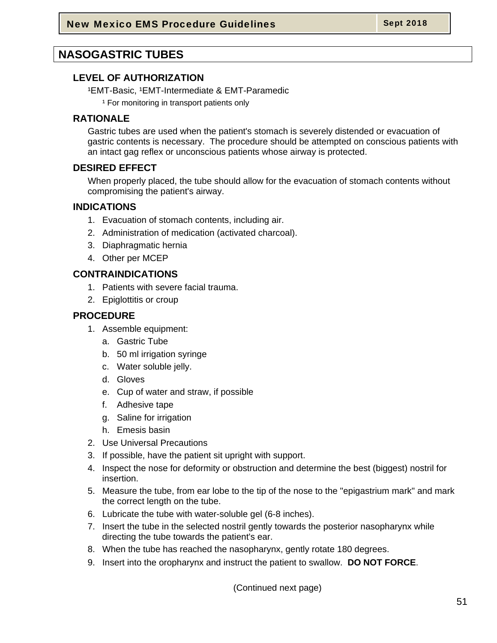# **NASOGASTRIC TUBES**

### **LEVEL OF AUTHORIZATION**

<sup>1</sup>EMT-Basic, <sup>1</sup>EMT-Intermediate & EMT-Paramedic

<sup>1</sup> For monitoring in transport patients only

## **RATIONALE**

Gastric tubes are used when the patient's stomach is severely distended or evacuation of gastric contents is necessary. The procedure should be attempted on conscious patients with an intact gag reflex or unconscious patients whose airway is protected.

#### **DESIRED EFFECT**

When properly placed, the tube should allow for the evacuation of stomach contents without compromising the patient's airway.

#### **INDICATIONS**

- 1. Evacuation of stomach contents, including air.
- 2. Administration of medication (activated charcoal).
- 3. Diaphragmatic hernia
- 4. Other per MCEP

# **CONTRAINDICATIONS**

- 1. Patients with severe facial trauma.
- 2. Epiglottitis or croup

### **PROCEDURE**

- 1. Assemble equipment:
	- a. Gastric Tube
	- b. 50 ml irrigation syringe
	- c. Water soluble jelly.
	- d. Gloves
	- e. Cup of water and straw, if possible
	- f. Adhesive tape
	- g. Saline for irrigation
	- h. Emesis basin
- 2. Use Universal Precautions
- 3. If possible, have the patient sit upright with support.
- 4. Inspect the nose for deformity or obstruction and determine the best (biggest) nostril for insertion.
- 5. Measure the tube, from ear lobe to the tip of the nose to the "epigastrium mark" and mark the correct length on the tube.
- 6. Lubricate the tube with water-soluble gel (6-8 inches).
- 7. Insert the tube in the selected nostril gently towards the posterior nasopharynx while directing the tube towards the patient's ear.
- 8. When the tube has reached the nasopharynx, gently rotate 180 degrees.
- 9. Insert into the oropharynx and instruct the patient to swallow. **DO NOT FORCE**.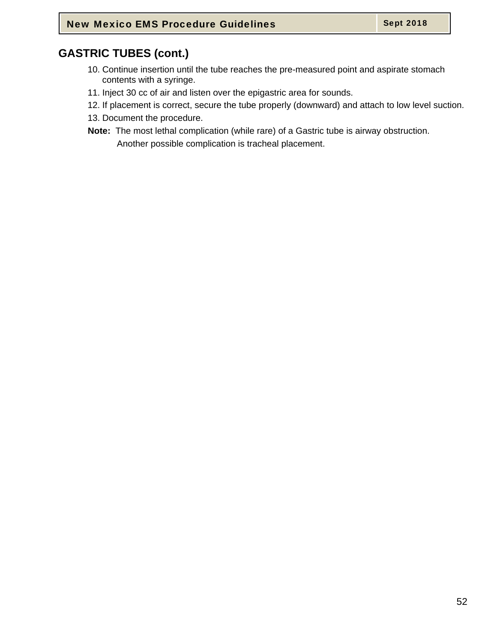# **GASTRIC TUBES (cont.)**

- 10. Continue insertion until the tube reaches the pre-measured point and aspirate stomach contents with a syringe.
- 11. Inject 30 cc of air and listen over the epigastric area for sounds.
- 12. If placement is correct, secure the tube properly (downward) and attach to low level suction.
- 13. Document the procedure.
- **Note:** The most lethal complication (while rare) of a Gastric tube is airway obstruction.

Another possible complication is tracheal placement.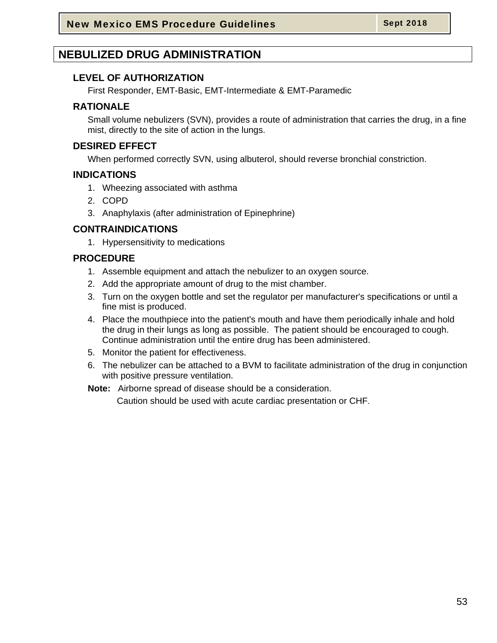# **NEBULIZED DRUG ADMINISTRATION**

### **LEVEL OF AUTHORIZATION**

First Responder, EMT-Basic, EMT-Intermediate & EMT-Paramedic

## **RATIONALE**

Small volume nebulizers (SVN), provides a route of administration that carries the drug, in a fine mist, directly to the site of action in the lungs.

### **DESIRED EFFECT**

When performed correctly SVN, using albuterol, should reverse bronchial constriction.

### **INDICATIONS**

- 1. Wheezing associated with asthma
- 2. COPD
- 3. Anaphylaxis (after administration of Epinephrine)

# **CONTRAINDICATIONS**

1. Hypersensitivity to medications

# **PROCEDURE**

- 1. Assemble equipment and attach the nebulizer to an oxygen source.
- 2. Add the appropriate amount of drug to the mist chamber.
- 3. Turn on the oxygen bottle and set the regulator per manufacturer's specifications or until a fine mist is produced.
- 4. Place the mouthpiece into the patient's mouth and have them periodically inhale and hold the drug in their lungs as long as possible. The patient should be encouraged to cough. Continue administration until the entire drug has been administered.
- 5. Monitor the patient for effectiveness.
- 6. The nebulizer can be attached to a BVM to facilitate administration of the drug in conjunction with positive pressure ventilation.
- **Note:** Airborne spread of disease should be a consideration.

Caution should be used with acute cardiac presentation or CHF.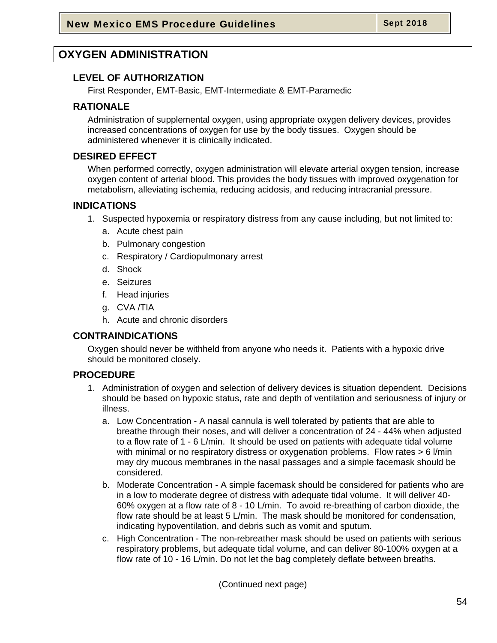# **OXYGEN ADMINISTRATION**

## **LEVEL OF AUTHORIZATION**

First Responder, EMT-Basic, EMT-Intermediate & EMT-Paramedic

### **RATIONALE**

Administration of supplemental oxygen, using appropriate oxygen delivery devices, provides increased concentrations of oxygen for use by the body tissues. Oxygen should be administered whenever it is clinically indicated.

# **DESIRED EFFECT**

When performed correctly, oxygen administration will elevate arterial oxygen tension, increase oxygen content of arterial blood. This provides the body tissues with improved oxygenation for metabolism, alleviating ischemia, reducing acidosis, and reducing intracranial pressure.

# **INDICATIONS**

- 1. Suspected hypoxemia or respiratory distress from any cause including, but not limited to:
	- a. Acute chest pain
	- b. Pulmonary congestion
	- c. Respiratory / Cardiopulmonary arrest
	- d. Shock
	- e. Seizures
	- f. Head injuries
	- g. CVA /TIA
	- h. Acute and chronic disorders

### **CONTRAINDICATIONS**

Oxygen should never be withheld from anyone who needs it. Patients with a hypoxic drive should be monitored closely.

# **PROCEDURE**

- 1. Administration of oxygen and selection of delivery devices is situation dependent. Decisions should be based on hypoxic status, rate and depth of ventilation and seriousness of injury or illness.
	- a. Low Concentration A nasal cannula is well tolerated by patients that are able to breathe through their noses, and will deliver a concentration of 24 - 44% when adjusted to a flow rate of 1 - 6 L/min. It should be used on patients with adequate tidal volume with minimal or no respiratory distress or oxygenation problems. Flow rates  $> 6$  l/min may dry mucous membranes in the nasal passages and a simple facemask should be considered.
	- b. Moderate Concentration A simple facemask should be considered for patients who are in a low to moderate degree of distress with adequate tidal volume. It will deliver 40- 60% oxygen at a flow rate of 8 - 10 L/min. To avoid re-breathing of carbon dioxide, the flow rate should be at least 5 L/min. The mask should be monitored for condensation, indicating hypoventilation, and debris such as vomit and sputum.
	- c. High Concentration The non-rebreather mask should be used on patients with serious respiratory problems, but adequate tidal volume, and can deliver 80-100% oxygen at a flow rate of 10 - 16 L/min. Do not let the bag completely deflate between breaths.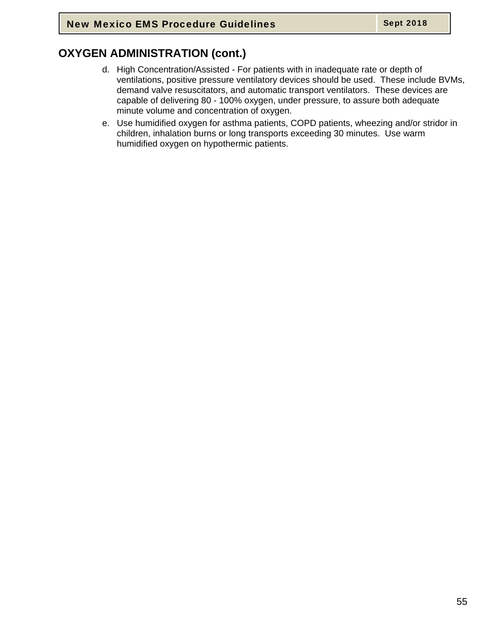# **OXYGEN ADMINISTRATION (cont.)**

- d. High Concentration/Assisted For patients with in inadequate rate or depth of ventilations, positive pressure ventilatory devices should be used. These include BVMs, demand valve resuscitators, and automatic transport ventilators. These devices are capable of delivering 80 - 100% oxygen, under pressure, to assure both adequate minute volume and concentration of oxygen.
- e. Use humidified oxygen for asthma patients, COPD patients, wheezing and/or stridor in children, inhalation burns or long transports exceeding 30 minutes. Use warm humidified oxygen on hypothermic patients.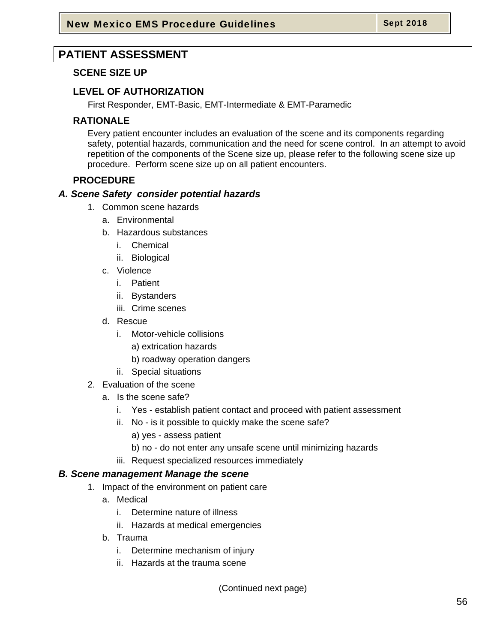# **PATIENT ASSESSMENT**

### **SCENE SIZE UP**

#### **LEVEL OF AUTHORIZATION**

First Responder, EMT-Basic, EMT-Intermediate & EMT-Paramedic

#### **RATIONALE**

Every patient encounter includes an evaluation of the scene and its components regarding safety, potential hazards, communication and the need for scene control. In an attempt to avoid repetition of the components of the Scene size up, please refer to the following scene size up procedure. Perform scene size up on all patient encounters.

#### **PROCEDURE**

#### *A.Scene Safety consider potential hazards*

- 1. Common scene hazards
	- a. Environmental
	- b. Hazardous substances
		- i. Chemical
		- ii. Biological
	- c. Violence
		- i. Patient
		- ii. Bystanders
		- iii. Crime scenes
	- d. Rescue
		- i. Motor-vehicle collisions
			- a) extrication hazards
			- b) roadway operation dangers
		- ii. Special situations
- 2. Evaluation of the scene
	- a. Is the scene safe?
		- i. Yes establish patient contact and proceed with patient assessment
		- ii. No is it possible to quickly make the scene safe?
			- a) yes assess patient
			- b) no do not enter any unsafe scene until minimizing hazards
		- iii. Request specialized resources immediately

#### *B. Scene management Manage the scene*

- 1. Impact of the environment on patient care
	- a. Medical
		- i. Determine nature of illness
		- ii. Hazards at medical emergencies
	- b. Trauma
		- i. Determine mechanism of injury
		- ii. Hazards at the trauma scene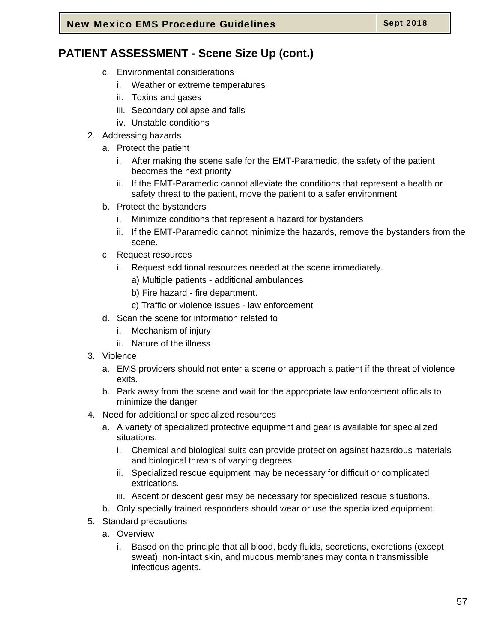# **PATIENT ASSESSMENT - Scene Size Up (cont.)**

- c. Environmental considerations
	- i. Weather or extreme temperatures
	- ii. Toxins and gases
	- iii. Secondary collapse and falls
	- iv. Unstable conditions
- 2. Addressing hazards
	- a. Protect the patient
		- i. After making the scene safe for the EMT-Paramedic, the safety of the patient becomes the next priority
		- ii. If the EMT-Paramedic cannot alleviate the conditions that represent a health or safety threat to the patient, move the patient to a safer environment
	- b. Protect the bystanders
		- i. Minimize conditions that represent a hazard for bystanders
		- ii. If the EMT-Paramedic cannot minimize the hazards, remove the bystanders from the scene.
	- c. Request resources
		- i. Request additional resources needed at the scene immediately.
			- a) Multiple patients additional ambulances
			- b) Fire hazard fire department.
			- c) Traffic or violence issues law enforcement
	- d. Scan the scene for information related to
		- i. Mechanism of injury
		- ii. Nature of the illness
- 3. Violence
	- a. EMS providers should not enter a scene or approach a patient if the threat of violence exits.
	- b. Park away from the scene and wait for the appropriate law enforcement officials to minimize the danger
- 4. Need for additional or specialized resources
	- a. A variety of specialized protective equipment and gear is available for specialized situations.
		- i. Chemical and biological suits can provide protection against hazardous materials and biological threats of varying degrees.
		- ii. Specialized rescue equipment may be necessary for difficult or complicated extrications.
		- iii. Ascent or descent gear may be necessary for specialized rescue situations.
	- b. Only specially trained responders should wear or use the specialized equipment.
- 5. Standard precautions
	- a. Overview
		- i. Based on the principle that all blood, body fluids, secretions, excretions (except sweat), non-intact skin, and mucous membranes may contain transmissible infectious agents.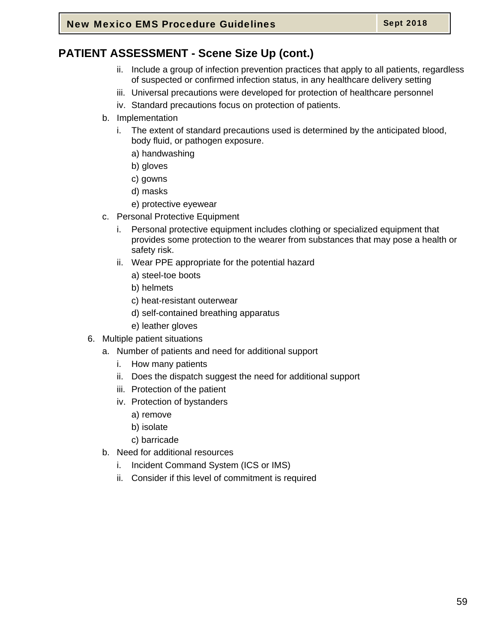# **PATIENT ASSESSMENT - Scene Size Up (cont.)**

- ii. Include a group of infection prevention practices that apply to all patients, regardless of suspected or confirmed infection status, in any healthcare delivery setting
- iii. Universal precautions were developed for protection of healthcare personnel
- iv. Standard precautions focus on protection of patients.
- b. Implementation
	- i. The extent of standard precautions used is determined by the anticipated blood, body fluid, or pathogen exposure.
		- a) handwashing
		- b) gloves
		- c) gowns
		- d) masks
		- e) protective eyewear
- c. Personal Protective Equipment
	- i. Personal protective equipment includes clothing or specialized equipment that provides some protection to the wearer from substances that may pose a health or safety risk.
	- ii. Wear PPE appropriate for the potential hazard
		- a) steel-toe boots
		- b) helmets
		- c) heat-resistant outerwear
		- d) self-contained breathing apparatus
		- e) leather gloves
- 6. Multiple patient situations
	- a. Number of patients and need for additional support
		- i. How many patients
		- ii. Does the dispatch suggest the need for additional support
		- iii. Protection of the patient
		- iv. Protection of bystanders
			- a) remove
			- b) isolate
			- c) barricade
	- b. Need for additional resources
		- i. Incident Command System (ICS or IMS)
		- ii. Consider if this level of commitment is required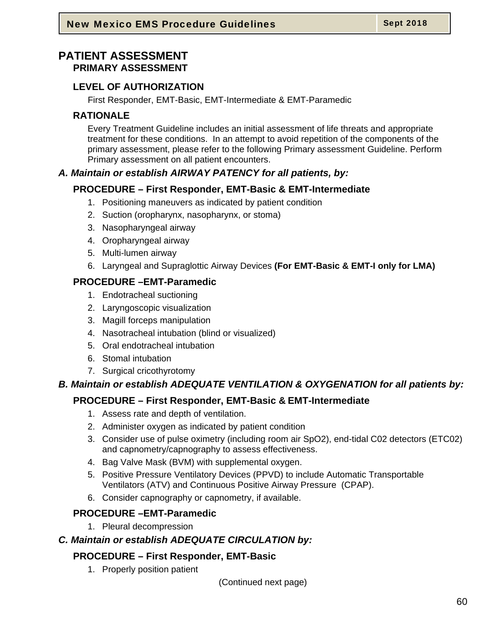# **PATIENT ASSESSMENT PRIMARY ASSESSMENT**

# **LEVEL OF AUTHORIZATION**

First Responder, EMT-Basic, EMT-Intermediate & EMT-Paramedic

### **RATIONALE**

Every Treatment Guideline includes an initial assessment of life threats and appropriate treatment for these conditions. In an attempt to avoid repetition of the components of the primary assessment, please refer to the following Primary assessment Guideline. Perform Primary assessment on all patient encounters.

#### *A.Maintain or establish AIRWAY PATENCY for all patients, by:*

#### **PROCEDURE – First Responder, EMT-Basic & EMT-Intermediate**

- 1. Positioning maneuvers as indicated by patient condition
- 2. Suction (oropharynx, nasopharynx, or stoma)
- 3. Nasopharyngeal airway
- 4. Oropharyngeal airway
- 5. Multi-lumen airway
- 6. Laryngeal and Supraglottic Airway Devices **(For EMT-Basic & EMT-I only for LMA)**

#### **PROCEDURE –EMT-Paramedic**

- 1. Endotracheal suctioning
- 2. Laryngoscopic visualization
- 3. Magill forceps manipulation
- 4. Nasotracheal intubation (blind or visualized)
- 5. Oral endotracheal intubation
- 6. Stomal intubation
- 7. Surgical cricothyrotomy

#### *B. Maintain or establish ADEQUATE VENTILATION & OXYGENATION for all patients by:*

### **PROCEDURE – First Responder, EMT-Basic & EMT-Intermediate**

- 1. Assess rate and depth of ventilation.
- 2. Administer oxygen as indicated by patient condition
- 3. Consider use of pulse oximetry (including room air SpO2), end-tidal C02 detectors (ETC02) and capnometry/capnography to assess effectiveness.
- 4. Bag Valve Mask (BVM) with supplemental oxygen.
- 5. Positive Pressure Ventilatory Devices (PPVD) to include Automatic Transportable Ventilators (ATV) and Continuous Positive Airway Pressure (CPAP).
- 6. Consider capnography or capnometry, if available.

#### **PROCEDURE –EMT-Paramedic**

1. Pleural decompression

#### *C.Maintain or establish ADEQUATE CIRCULATION by:*

#### **PROCEDURE – First Responder, EMT-Basic**

1. Properly position patient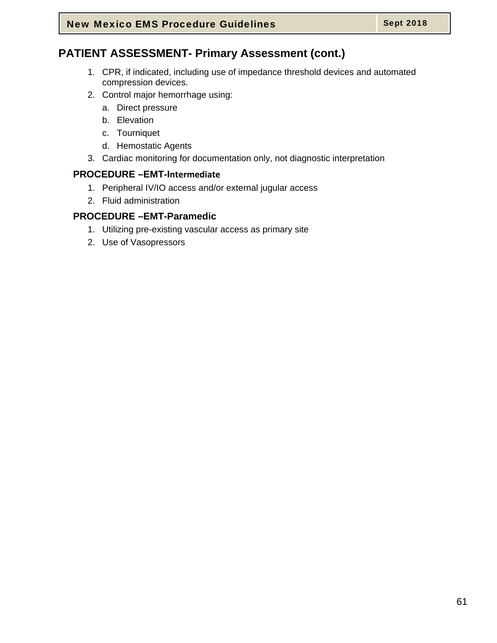# **PATIENT ASSESSMENT- Primary Assessment (cont.)**

- 1. CPR, if indicated, including use of impedance threshold devices and automated compression devices.
- 2. Control major hemorrhage using:
	- a. Direct pressure
	- b. Elevation
	- c. Tourniquet
	- d. Hemostatic Agents
- 3. Cardiac monitoring for documentation only, not diagnostic interpretation

#### **PROCEDURE –EMT-Intermediate**

- 1. Peripheral IV/IO access and/or external jugular access
- 2. Fluid administration

### **PROCEDURE –EMT-Paramedic**

- 1. Utilizing pre-existing vascular access as primary site
- 2. Use of Vasopressors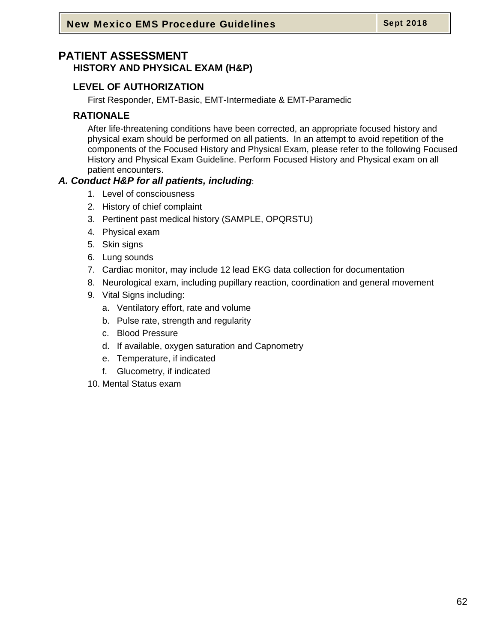# **PATIENT ASSESSMENT HISTORY AND PHYSICAL EXAM (H&P)**

# **LEVEL OF AUTHORIZATION**

First Responder, EMT-Basic, EMT-Intermediate & EMT-Paramedic

#### **RATIONALE**

After life-threatening conditions have been corrected, an appropriate focused history and physical exam should be performed on all patients. In an attempt to avoid repetition of the components of the Focused History and Physical Exam, please refer to the following Focused History and Physical Exam Guideline. Perform Focused History and Physical exam on all patient encounters.

#### *A. Conduct H&P for all patients, including*:

- 1. Level of consciousness
- 2. History of chief complaint
- 3. Pertinent past medical history (SAMPLE, OPQRSTU)
- 4. Physical exam
- 5. Skin signs
- 6. Lung sounds
- 7. Cardiac monitor, may include 12 lead EKG data collection for documentation
- 8. Neurological exam, including pupillary reaction, coordination and general movement
- 9. Vital Signs including:
	- a. Ventilatory effort, rate and volume
	- b. Pulse rate, strength and regularity
	- c. Blood Pressure
	- d. If available, oxygen saturation and Capnometry
	- e. Temperature, if indicated
	- f. Glucometry, if indicated
- 10. Mental Status exam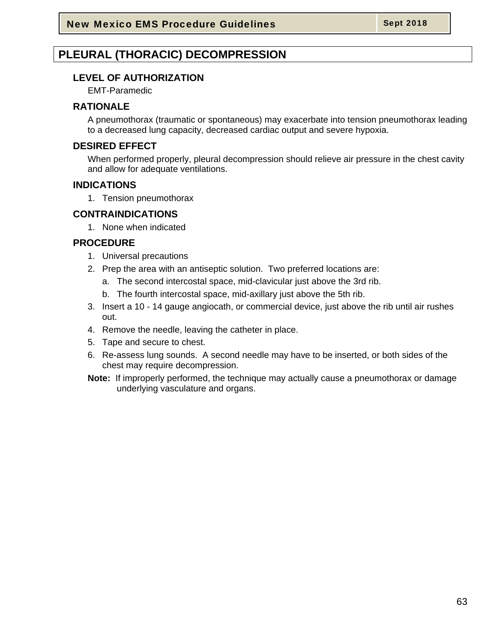# **PLEURAL (THORACIC) DECOMPRESSION**

### **LEVEL OF AUTHORIZATION**

EMT-Paramedic

#### **RATIONALE**

A pneumothorax (traumatic or spontaneous) may exacerbate into tension pneumothorax leading to a decreased lung capacity, decreased cardiac output and severe hypoxia.

#### **DESIRED EFFECT**

When performed properly, pleural decompression should relieve air pressure in the chest cavity and allow for adequate ventilations.

#### **INDICATIONS**

1. Tension pneumothorax

### **CONTRAINDICATIONS**

1. None when indicated

- 1. Universal precautions
- 2. Prep the area with an antiseptic solution. Two preferred locations are:
	- a. The second intercostal space, mid-clavicular just above the 3rd rib.
	- b. The fourth intercostal space, mid-axillary just above the 5th rib.
- 3. Insert a 10 14 gauge angiocath, or commercial device, just above the rib until air rushes out.
- 4. Remove the needle, leaving the catheter in place.
- 5. Tape and secure to chest.
- 6. Re-assess lung sounds. A second needle may have to be inserted, or both sides of the chest may require decompression.
- **Note:** If improperly performed, the technique may actually cause a pneumothorax or damage underlying vasculature and organs.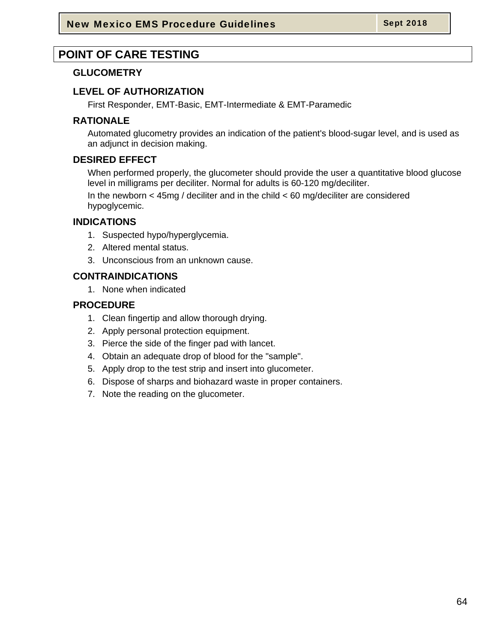# **POINT OF CARE TESTING**

### **GLUCOMETRY**

#### **LEVEL OF AUTHORIZATION**

First Responder, EMT-Basic, EMT-Intermediate & EMT-Paramedic

#### **RATIONALE**

Automated glucometry provides an indication of the patient's blood-sugar level, and is used as an adjunct in decision making.

#### **DESIRED EFFECT**

When performed properly, the glucometer should provide the user a quantitative blood glucose level in milligrams per deciliter. Normal for adults is 60-120 mg/deciliter.

In the newborn < 45mg / deciliter and in the child < 60 mg/deciliter are considered hypoglycemic.

#### **INDICATIONS**

- 1. Suspected hypo/hyperglycemia.
- 2. Altered mental status.
- 3. Unconscious from an unknown cause.

#### **CONTRAINDICATIONS**

1. None when indicated

- 1. Clean fingertip and allow thorough drying.
- 2. Apply personal protection equipment.
- 3. Pierce the side of the finger pad with lancet.
- 4. Obtain an adequate drop of blood for the "sample".
- 5. Apply drop to the test strip and insert into glucometer.
- 6. Dispose of sharps and biohazard waste in proper containers.
- 7. Note the reading on the glucometer.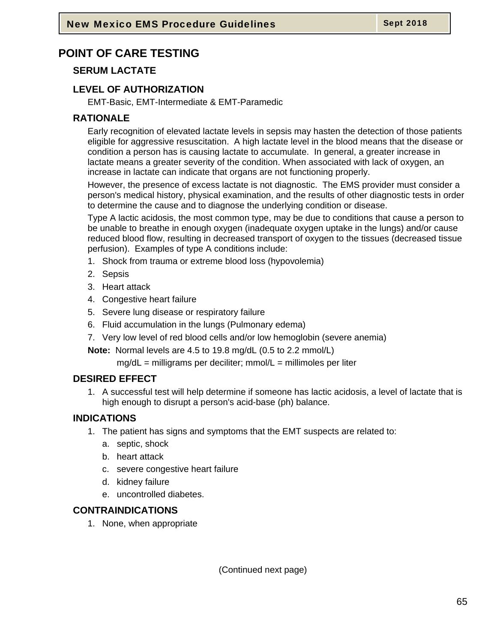# **POINT OF CARE TESTING**

# **SERUM LACTATE**

# **LEVEL OF AUTHORIZATION**

EMT-Basic, EMT-Intermediate & EMT-Paramedic

## **RATIONALE**

Early recognition of elevated lactate levels in sepsis may hasten the detection of those patients eligible for aggressive resuscitation. A high lactate level in the blood means that the disease or condition a person has is causing lactate to accumulate. In general, a greater increase in lactate means a greater severity of the condition. When associated with lack of oxygen, an increase in lactate can indicate that organs are not functioning properly.

However, the presence of excess lactate is not diagnostic. The EMS provider must consider a person's medical history, physical examination, and the results of other diagnostic tests in order to determine the cause and to diagnose the underlying condition or disease.

Type A lactic acidosis, the most common type, may be due to conditions that cause a person to be unable to breathe in enough oxygen (inadequate oxygen uptake in the lungs) and/or cause reduced blood flow, resulting in decreased transport of oxygen to the tissues (decreased tissue perfusion). Examples of type A conditions include:

- 1. Shock from trauma or extreme blood loss (hypovolemia)
- 2. Sepsis
- 3. Heart attack
- 4. Congestive heart failure
- 5. Severe lung disease or respiratory failure
- 6. Fluid accumulation in the lungs (Pulmonary edema)
- 7. Very low level of red blood cells and/or low hemoglobin (severe anemia)

**Note:** Normal levels are 4.5 to 19.8 mg/dL (0.5 to 2.2 mmol/L)

 $mg/dL =$  milligrams per deciliter; mmol/ $L =$  millimoles per liter

#### **DESIRED EFFECT**

1. A successful test will help determine if someone has lactic acidosis, a level of lactate that is high enough to disrupt a person's acid-base (ph) balance.

### **INDICATIONS**

- 1. The patient has signs and symptoms that the EMT suspects are related to:
	- a. septic, shock
	- b. heart attack
	- c. severe congestive heart failure
	- d. kidney failure
	- e. uncontrolled diabetes.

### **CONTRAINDICATIONS**

1. None, when appropriate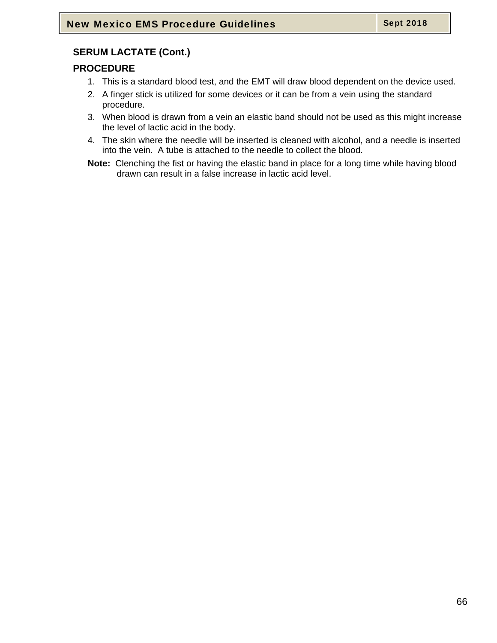## **SERUM LACTATE (Cont.)**

- 1. This is a standard blood test, and the EMT will draw blood dependent on the device used.
- 2. A finger stick is utilized for some devices or it can be from a vein using the standard procedure.
- 3. When blood is drawn from a vein an elastic band should not be used as this might increase the level of lactic acid in the body.
- 4. The skin where the needle will be inserted is cleaned with alcohol, and a needle is inserted into the vein. A tube is attached to the needle to collect the blood.
- **Note:** Clenching the fist or having the elastic band in place for a long time while having blood drawn can result in a false increase in lactic acid level.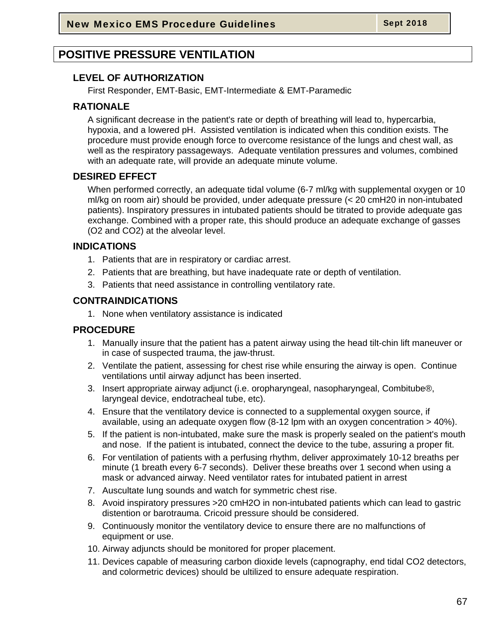# **POSITIVE PRESSURE VENTILATION**

#### **LEVEL OF AUTHORIZATION**

First Responder, EMT-Basic, EMT-Intermediate & EMT-Paramedic

#### **RATIONALE**

A significant decrease in the patient's rate or depth of breathing will lead to, hypercarbia, hypoxia, and a lowered pH. Assisted ventilation is indicated when this condition exists. The procedure must provide enough force to overcome resistance of the lungs and chest wall, as well as the respiratory passageways. Adequate ventilation pressures and volumes, combined with an adequate rate, will provide an adequate minute volume.

### **DESIRED EFFECT**

When performed correctly, an adequate tidal volume (6-7 ml/kg with supplemental oxygen or 10 ml/kg on room air) should be provided, under adequate pressure (< 20 cmH20 in non-intubated patients). Inspiratory pressures in intubated patients should be titrated to provide adequate gas exchange. Combined with a proper rate, this should produce an adequate exchange of gasses (O2 and CO2) at the alveolar level.

### **INDICATIONS**

- 1. Patients that are in respiratory or cardiac arrest.
- 2. Patients that are breathing, but have inadequate rate or depth of ventilation.
- 3. Patients that need assistance in controlling ventilatory rate.

### **CONTRAINDICATIONS**

1. None when ventilatory assistance is indicated

- 1. Manually insure that the patient has a patent airway using the head tilt-chin lift maneuver or in case of suspected trauma, the jaw-thrust.
- 2. Ventilate the patient, assessing for chest rise while ensuring the airway is open. Continue ventilations until airway adjunct has been inserted.
- 3. Insert appropriate airway adjunct (i.e. oropharyngeal, nasopharyngeal, Combitube®, laryngeal device, endotracheal tube, etc).
- 4. Ensure that the ventilatory device is connected to a supplemental oxygen source, if available, using an adequate oxygen flow  $(8-12 \text{ lpm with an oxygen concentration} > 40\%).$
- 5. If the patient is non-intubated, make sure the mask is properly sealed on the patient's mouth and nose. If the patient is intubated, connect the device to the tube, assuring a proper fit.
- 6. For ventilation of patients with a perfusing rhythm, deliver approximately 10-12 breaths per minute (1 breath every 6-7 seconds). Deliver these breaths over 1 second when using a mask or advanced airway. Need ventilator rates for intubated patient in arrest
- 7. Auscultate lung sounds and watch for symmetric chest rise.
- 8. Avoid inspiratory pressures >20 cmH2O in non-intubated patients which can lead to gastric distention or barotrauma. Cricoid pressure should be considered.
- 9. Continuously monitor the ventilatory device to ensure there are no malfunctions of equipment or use.
- 10. Airway adjuncts should be monitored for proper placement.
- 11. Devices capable of measuring carbon dioxide levels (capnography, end tidal CO2 detectors, and colormetric devices) should be ultilized to ensure adequate respiration.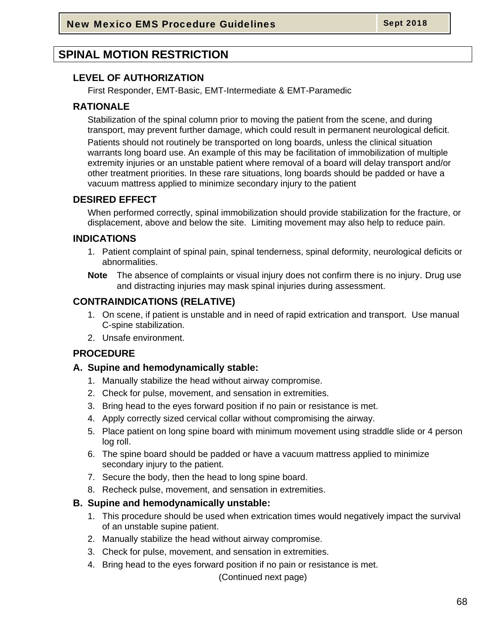# **SPINAL MOTION RESTRICTION**

## **LEVEL OF AUTHORIZATION**

First Responder, EMT-Basic, EMT-Intermediate & EMT-Paramedic

## **RATIONALE**

Stabilization of the spinal column prior to moving the patient from the scene, and during transport, may prevent further damage, which could result in permanent neurological deficit.

Patients should not routinely be transported on long boards, unless the clinical situation warrants long board use. An example of this may be facilitation of immobilization of multiple extremity injuries or an unstable patient where removal of a board will delay transport and/or other treatment priorities. In these rare situations, long boards should be padded or have a vacuum mattress applied to minimize secondary injury to the patient

### **DESIRED EFFECT**

When performed correctly, spinal immobilization should provide stabilization for the fracture, or displacement, above and below the site. Limiting movement may also help to reduce pain.

# **INDICATIONS**

- 1. Patient complaint of spinal pain, spinal tenderness, spinal deformity, neurological deficits or abnormalities.
- **Note** The absence of complaints or visual injury does not confirm there is no injury. Drug use and distracting injuries may mask spinal injuries during assessment.

# **CONTRAINDICATIONS (RELATIVE)**

- 1. On scene, if patient is unstable and in need of rapid extrication and transport. Use manual C-spine stabilization.
- 2. Unsafe environment.

# **PROCEDURE**

### **A. Supine and hemodynamically stable:**

- 1. Manually stabilize the head without airway compromise.
- 2. Check for pulse, movement, and sensation in extremities.
- 3. Bring head to the eyes forward position if no pain or resistance is met.
- 4. Apply correctly sized cervical collar without compromising the airway.
- 5. Place patient on long spine board with minimum movement using straddle slide or 4 person log roll.
- 6. The spine board should be padded or have a vacuum mattress applied to minimize secondary injury to the patient.
- 7. Secure the body, then the head to long spine board.
- 8. Recheck pulse, movement, and sensation in extremities.

### **B. Supine and hemodynamically unstable:**

- 1. This procedure should be used when extrication times would negatively impact the survival of an unstable supine patient.
- 2. Manually stabilize the head without airway compromise.
- 3. Check for pulse, movement, and sensation in extremities.
- 4. Bring head to the eyes forward position if no pain or resistance is met.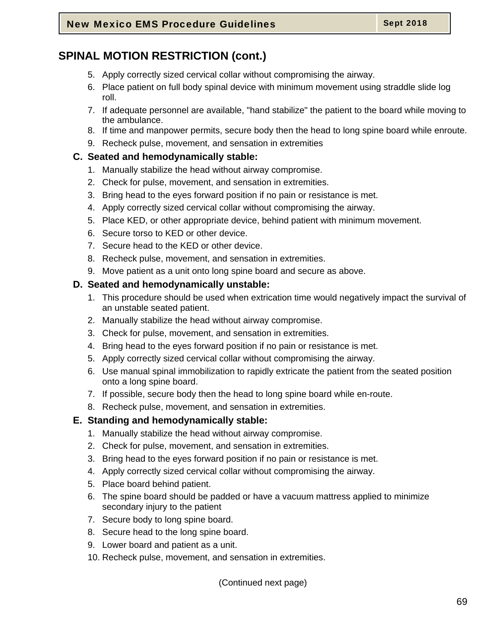# **SPINAL MOTION RESTRICTION (cont.)**

- 5. Apply correctly sized cervical collar without compromising the airway.
- 6. Place patient on full body spinal device with minimum movement using straddle slide log roll.
- 7. If adequate personnel are available, "hand stabilize" the patient to the board while moving to the ambulance.
- 8. If time and manpower permits, secure body then the head to long spine board while enroute.
- 9. Recheck pulse, movement, and sensation in extremities

#### **C. Seated and hemodynamically stable:**

- 1. Manually stabilize the head without airway compromise.
- 2. Check for pulse, movement, and sensation in extremities.
- 3. Bring head to the eyes forward position if no pain or resistance is met.
- 4. Apply correctly sized cervical collar without compromising the airway.
- 5. Place KED, or other appropriate device, behind patient with minimum movement.
- 6. Secure torso to KED or other device.
- 7. Secure head to the KED or other device.
- 8. Recheck pulse, movement, and sensation in extremities.
- 9. Move patient as a unit onto long spine board and secure as above.

### **D. Seated and hemodynamically unstable:**

- 1. This procedure should be used when extrication time would negatively impact the survival of an unstable seated patient.
- 2. Manually stabilize the head without airway compromise.
- 3. Check for pulse, movement, and sensation in extremities.
- 4. Bring head to the eyes forward position if no pain or resistance is met.
- 5. Apply correctly sized cervical collar without compromising the airway.
- 6. Use manual spinal immobilization to rapidly extricate the patient from the seated position onto a long spine board.
- 7. If possible, secure body then the head to long spine board while en-route.
- 8. Recheck pulse, movement, and sensation in extremities.

### **E. Standing and hemodynamically stable:**

- 1. Manually stabilize the head without airway compromise.
- 2. Check for pulse, movement, and sensation in extremities.
- 3. Bring head to the eyes forward position if no pain or resistance is met.
- 4. Apply correctly sized cervical collar without compromising the airway.
- 5. Place board behind patient.
- 6. The spine board should be padded or have a vacuum mattress applied to minimize secondary injury to the patient
- 7. Secure body to long spine board.
- 8. Secure head to the long spine board.
- 9. Lower board and patient as a unit.
- 10. Recheck pulse, movement, and sensation in extremities.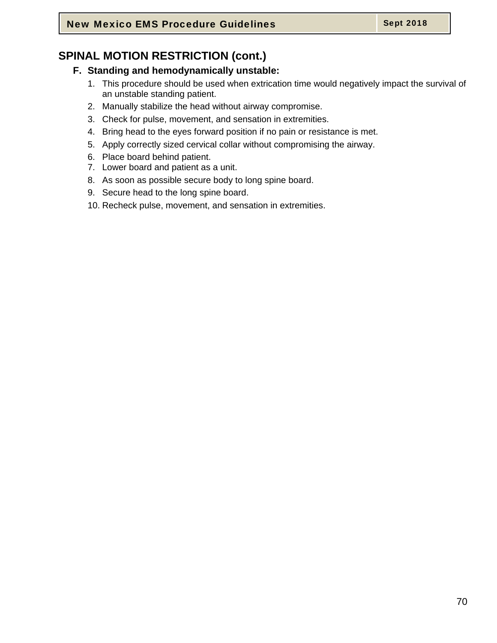# **SPINAL MOTION RESTRICTION (cont.)**

# **F. Standing and hemodynamically unstable:**

- 1. This procedure should be used when extrication time would negatively impact the survival of an unstable standing patient.
- 2. Manually stabilize the head without airway compromise.
- 3. Check for pulse, movement, and sensation in extremities.
- 4. Bring head to the eyes forward position if no pain or resistance is met.
- 5. Apply correctly sized cervical collar without compromising the airway.
- 6. Place board behind patient.
- 7. Lower board and patient as a unit.
- 8. As soon as possible secure body to long spine board.
- 9. Secure head to the long spine board.
- 10. Recheck pulse, movement, and sensation in extremities.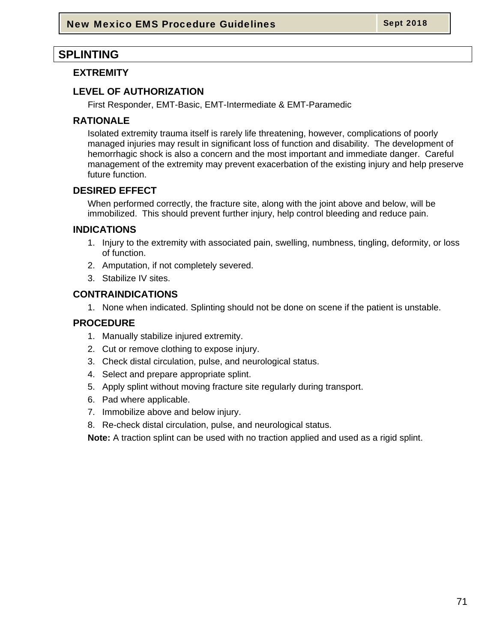# **SPLINTING**

# **EXTREMITY**

# **LEVEL OF AUTHORIZATION**

First Responder, EMT-Basic, EMT-Intermediate & EMT-Paramedic

# **RATIONALE**

Isolated extremity trauma itself is rarely life threatening, however, complications of poorly managed injuries may result in significant loss of function and disability. The development of hemorrhagic shock is also a concern and the most important and immediate danger. Careful management of the extremity may prevent exacerbation of the existing injury and help preserve future function.

## **DESIRED EFFECT**

When performed correctly, the fracture site, along with the joint above and below, will be immobilized. This should prevent further injury, help control bleeding and reduce pain.

# **INDICATIONS**

- 1. Injury to the extremity with associated pain, swelling, numbness, tingling, deformity, or loss of function.
- 2. Amputation, if not completely severed.
- 3. Stabilize IV sites.

# **CONTRAINDICATIONS**

1. None when indicated. Splinting should not be done on scene if the patient is unstable.

# **PROCEDURE**

- 1. Manually stabilize injured extremity.
- 2. Cut or remove clothing to expose injury.
- 3. Check distal circulation, pulse, and neurological status.
- 4. Select and prepare appropriate splint.
- 5. Apply splint without moving fracture site regularly during transport.
- 6. Pad where applicable.
- 7. Immobilize above and below injury.
- 8. Re-check distal circulation, pulse, and neurological status.

**Note:** A traction splint can be used with no traction applied and used as a rigid splint.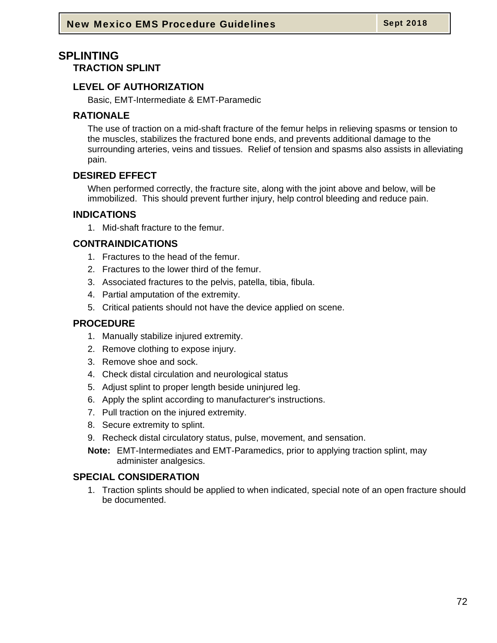# **SPLINTING TRACTION SPLINT**

## **LEVEL OF AUTHORIZATION**

Basic, EMT-Intermediate & EMT-Paramedic

### **RATIONALE**

The use of traction on a mid-shaft fracture of the femur helps in relieving spasms or tension to the muscles, stabilizes the fractured bone ends, and prevents additional damage to the surrounding arteries, veins and tissues. Relief of tension and spasms also assists in alleviating pain.

## **DESIRED EFFECT**

When performed correctly, the fracture site, along with the joint above and below, will be immobilized. This should prevent further injury, help control bleeding and reduce pain.

### **INDICATIONS**

1. Mid-shaft fracture to the femur.

#### **CONTRAINDICATIONS**

- 1. Fractures to the head of the femur.
- 2. Fractures to the lower third of the femur.
- 3. Associated fractures to the pelvis, patella, tibia, fibula.
- 4. Partial amputation of the extremity.
- 5. Critical patients should not have the device applied on scene.

#### **PROCEDURE**

- 1. Manually stabilize injured extremity.
- 2. Remove clothing to expose injury.
- 3. Remove shoe and sock.
- 4. Check distal circulation and neurological status
- 5. Adjust splint to proper length beside uninjured leg.
- 6. Apply the splint according to manufacturer's instructions.
- 7. Pull traction on the injured extremity.
- 8. Secure extremity to splint.
- 9. Recheck distal circulatory status, pulse, movement, and sensation.
- **Note:** EMT-Intermediates and EMT-Paramedics, prior to applying traction splint, may administer analgesics.

## **SPECIAL CONSIDERATION**

1. Traction splints should be applied to when indicated, special note of an open fracture should be documented.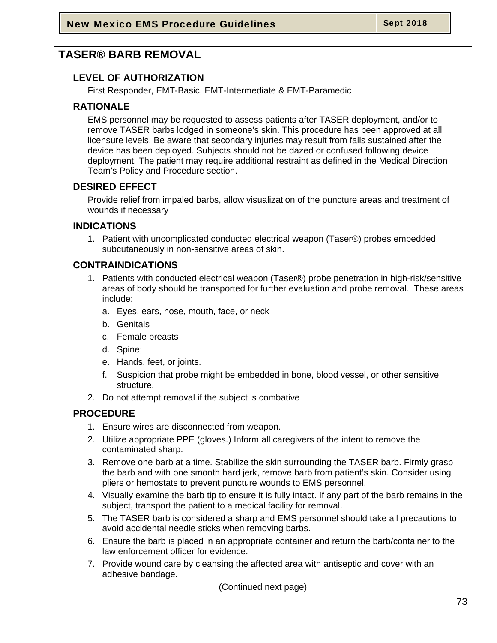# **TASER® BARB REMOVAL**

# **LEVEL OF AUTHORIZATION**

First Responder, EMT-Basic, EMT-Intermediate & EMT-Paramedic

### **RATIONALE**

EMS personnel may be requested to assess patients after TASER deployment, and/or to remove TASER barbs lodged in someone's skin. This procedure has been approved at all licensure levels. Be aware that secondary injuries may result from falls sustained after the device has been deployed. Subjects should not be dazed or confused following device deployment. The patient may require additional restraint as defined in the Medical Direction Team's Policy and Procedure section.

## **DESIRED EFFECT**

Provide relief from impaled barbs, allow visualization of the puncture areas and treatment of wounds if necessary

#### **INDICATIONS**

1. Patient with uncomplicated conducted electrical weapon (Taser®) probes embedded subcutaneously in non-sensitive areas of skin.

## **CONTRAINDICATIONS**

- 1. Patients with conducted electrical weapon (Taser®) probe penetration in high-risk/sensitive areas of body should be transported for further evaluation and probe removal. These areas include:
	- a. Eyes, ears, nose, mouth, face, or neck
	- b. Genitals
	- c. Female breasts
	- d. Spine;
	- e. Hands, feet, or joints.
	- f. Suspicion that probe might be embedded in bone, blood vessel, or other sensitive structure.
- 2. Do not attempt removal if the subject is combative

## **PROCEDURE**

- 1. Ensure wires are disconnected from weapon.
- 2. Utilize appropriate PPE (gloves.) Inform all caregivers of the intent to remove the contaminated sharp.
- 3. Remove one barb at a time. Stabilize the skin surrounding the TASER barb. Firmly grasp the barb and with one smooth hard jerk, remove barb from patient's skin. Consider using pliers or hemostats to prevent puncture wounds to EMS personnel.
- 4. Visually examine the barb tip to ensure it is fully intact. If any part of the barb remains in the subject, transport the patient to a medical facility for removal.
- 5. The TASER barb is considered a sharp and EMS personnel should take all precautions to avoid accidental needle sticks when removing barbs.
- 6. Ensure the barb is placed in an appropriate container and return the barb/container to the law enforcement officer for evidence.
- 7. Provide wound care by cleansing the affected area with antiseptic and cover with an adhesive bandage.

(Continued next page)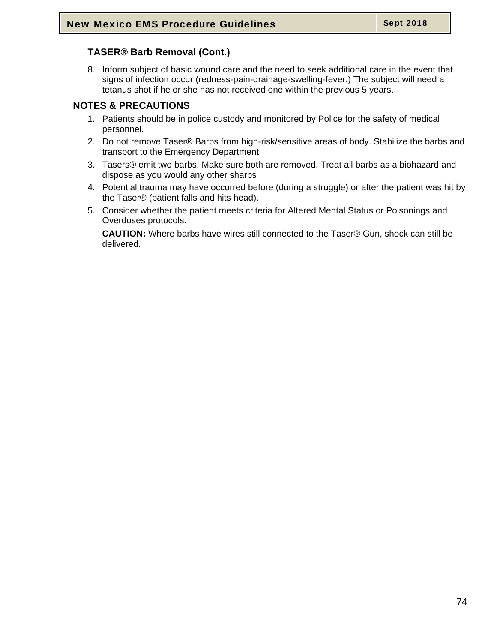## **TASER® Barb Removal (Cont.)**

8. Inform subject of basic wound care and the need to seek additional care in the event that signs of infection occur (redness-pain-drainage-swelling-fever.) The subject will need a tetanus shot if he or she has not received one within the previous 5 years.

### **NOTES & PRECAUTIONS**

- 1. Patients should be in police custody and monitored by Police for the safety of medical personnel.
- 2. Do not remove Taser® Barbs from high-risk/sensitive areas of body. Stabilize the barbs and transport to the Emergency Department
- 3. Tasers® emit two barbs. Make sure both are removed. Treat all barbs as a biohazard and dispose as you would any other sharps
- 4. Potential trauma may have occurred before (during a struggle) or after the patient was hit by the Taser® (patient falls and hits head).
- 5. Consider whether the patient meets criteria for Altered Mental Status or Poisonings and Overdoses protocols.

**CAUTION:** Where barbs have wires still connected to the Taser® Gun, shock can still be delivered.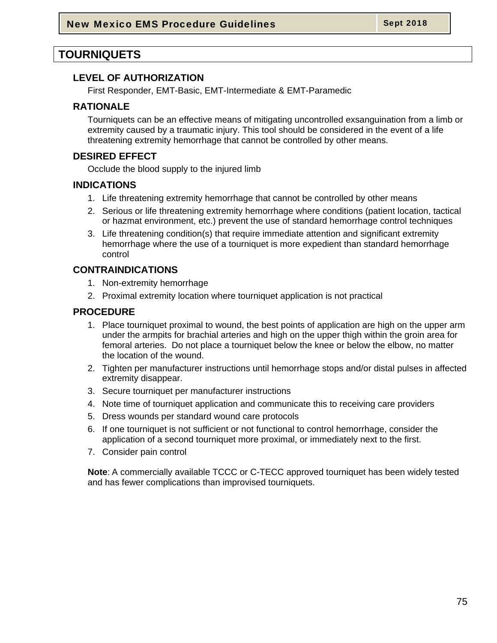# **TOURNIQUETS**

# **LEVEL OF AUTHORIZATION**

First Responder, EMT-Basic, EMT-Intermediate & EMT-Paramedic

## **RATIONALE**

Tourniquets can be an effective means of mitigating uncontrolled exsanguination from a limb or extremity caused by a traumatic injury. This tool should be considered in the event of a life threatening extremity hemorrhage that cannot be controlled by other means.

## **DESIRED EFFECT**

Occlude the blood supply to the injured limb

## **INDICATIONS**

- 1. Life threatening extremity hemorrhage that cannot be controlled by other means
- 2. Serious or life threatening extremity hemorrhage where conditions (patient location, tactical or hazmat environment, etc.) prevent the use of standard hemorrhage control techniques
- 3. Life threatening condition(s) that require immediate attention and significant extremity hemorrhage where the use of a tourniquet is more expedient than standard hemorrhage control

# **CONTRAINDICATIONS**

- 1. Non-extremity hemorrhage
- 2. Proximal extremity location where tourniquet application is not practical

## **PROCEDURE**

- 1. Place tourniquet proximal to wound, the best points of application are high on the upper arm under the armpits for brachial arteries and high on the upper thigh within the groin area for femoral arteries. Do not place a tourniquet below the knee or below the elbow, no matter the location of the wound.
- 2. Tighten per manufacturer instructions until hemorrhage stops and/or distal pulses in affected extremity disappear.
- 3. Secure tourniquet per manufacturer instructions
- 4. Note time of tourniquet application and communicate this to receiving care providers
- 5. Dress wounds per standard wound care protocols
- 6. If one tourniquet is not sufficient or not functional to control hemorrhage, consider the application of a second tourniquet more proximal, or immediately next to the first.
- 7. Consider pain control

**Note**: A commercially available TCCC or C-TECC approved tourniquet has been widely tested and has fewer complications than improvised tourniquets.